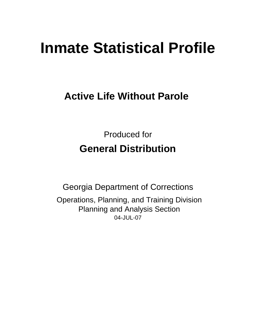# **Inmate Statistical Profile**

# **Active Life Without Parole**

Produced for **General Distribution**

04-JUL-07 Georgia Department of Corrections Operations, Planning, and Training Division Planning and Analysis Section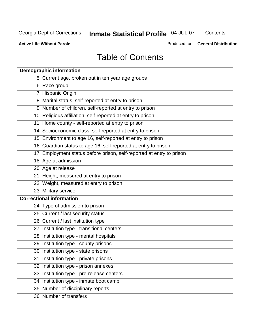**Contents** 

**Active Life Without Parole** 

Produced for **General Distribution**

# Table of Contents

| <b>Demographic information</b>                                       |
|----------------------------------------------------------------------|
| 5 Current age, broken out in ten year age groups                     |
| 6 Race group                                                         |
| 7 Hispanic Origin                                                    |
| 8 Marital status, self-reported at entry to prison                   |
| 9 Number of children, self-reported at entry to prison               |
| 10 Religious affiliation, self-reported at entry to prison           |
| 11 Home county - self-reported at entry to prison                    |
| 14 Socioeconomic class, self-reported at entry to prison             |
| 15 Environment to age 16, self-reported at entry to prison           |
| 16 Guardian status to age 16, self-reported at entry to prison       |
| 17 Employment status before prison, self-reported at entry to prison |
| 18 Age at admission                                                  |
| 20 Age at release                                                    |
| 21 Height, measured at entry to prison                               |
| 22 Weight, measured at entry to prison                               |
| 23 Military service                                                  |
| <b>Correctional information</b>                                      |
| 24 Type of admission to prison                                       |
| 25 Current / last security status                                    |
| 26 Current / last institution type                                   |
| 27 Institution type - transitional centers                           |
| 28 Institution type - mental hospitals                               |
| 29 Institution type - county prisons                                 |
| 30 Institution type - state prisons                                  |
| 31 Institution type - private prisons                                |
| 32 Institution type - prison annexes                                 |
| 33 Institution type - pre-release centers                            |
| 34 Institution type - inmate boot camp                               |
| 35 Number of disciplinary reports                                    |
| 36 Number of transfers                                               |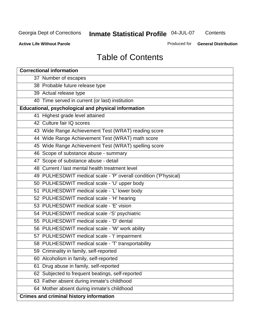**Contents** 

**Active Life Without Parole** 

Produced for **General Distribution**

# Table of Contents

| <b>Correctional information</b>                                  |
|------------------------------------------------------------------|
| 37 Number of escapes                                             |
| 38 Probable future release type                                  |
| 39 Actual release type                                           |
| 40 Time served in current (or last) institution                  |
| Educational, psychological and physical information              |
| 41 Highest grade level attained                                  |
| 42 Culture fair IQ scores                                        |
| 43 Wide Range Achievement Test (WRAT) reading score              |
| 44 Wide Range Achievement Test (WRAT) math score                 |
| 45 Wide Range Achievement Test (WRAT) spelling score             |
| 46 Scope of substance abuse - summary                            |
| 47 Scope of substance abuse - detail                             |
| 48 Current / last mental health treatment level                  |
| 49 PULHESDWIT medical scale - 'P' overall condition ('P'hysical) |
| 50 PULHESDWIT medical scale - 'U' upper body                     |
| 51 PULHESDWIT medical scale - 'L' lower body                     |
| 52 PULHESDWIT medical scale - 'H' hearing                        |
| 53 PULHESDWIT medical scale - 'E' vision                         |
| 54 PULHESDWIT medical scale -'S' psychiatric                     |
| 55 PULHESDWIT medical scale - 'D' dental                         |
| 56 PULHESDWIT medical scale - 'W' work ability                   |
| 57 PULHESDWIT medical scale - 'I' impairment                     |
| 58 PULHESDWIT medical scale - 'T' transportability               |
| 59 Criminality in family, self-reported                          |
| 60 Alcoholism in family, self-reported                           |
| Drug abuse in family, self-reported<br>61                        |
| 62 Subjected to frequent beatings, self-reported                 |
| 63 Father absent during inmate's childhood                       |
| 64 Mother absent during inmate's childhood                       |
| <b>Crimes and criminal history information</b>                   |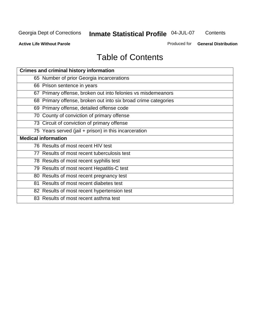**Contents** 

**Active Life Without Parole** 

Produced for **General Distribution**

# Table of Contents

| <b>Crimes and criminal history information</b>                 |
|----------------------------------------------------------------|
| 65 Number of prior Georgia incarcerations                      |
| 66 Prison sentence in years                                    |
| 67 Primary offense, broken out into felonies vs misdemeanors   |
| 68 Primary offense, broken out into six broad crime categories |
| 69 Primary offense, detailed offense code                      |
| 70 County of conviction of primary offense                     |
| 73 Circuit of conviction of primary offense                    |
| 75 Years served (jail + prison) in this incarceration          |
|                                                                |
| <b>Medical information</b>                                     |
| 76 Results of most recent HIV test                             |
| 77 Results of most recent tuberculosis test                    |
| 78 Results of most recent syphilis test                        |
| 79 Results of most recent Hepatitis-C test                     |
| 80 Results of most recent pregnancy test                       |
| 81 Results of most recent diabetes test                        |
| 82 Results of most recent hypertension test                    |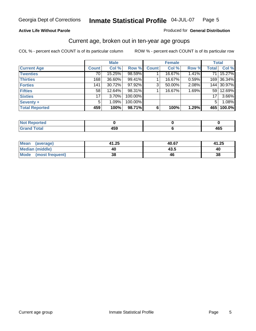#### **Active Life Without Parole**

#### Produced for **General Distribution**

## Current age, broken out in ten-year age groups

|                       |              | <b>Male</b> |         |              | <b>Female</b> |          |              | <b>Total</b> |
|-----------------------|--------------|-------------|---------|--------------|---------------|----------|--------------|--------------|
| <b>Current Age</b>    | <b>Count</b> | Col %       | Row %   | <b>Count</b> | Col %         | Row %    | <b>Total</b> | Col %        |
| <b>Twenties</b>       | 70           | 15.25%      | 98.59%  |              | 16.67%        | $1.41\%$ | 71 I         | 15.27%       |
| <b>Thirties</b>       | 168          | 36.60%      | 99.41%  |              | 16.67%        | 0.59%    |              | 169 36.34%   |
| <b>Forties</b>        | 141          | 30.72%      | 97.92%  | 3            | 50.00%        | 2.08%    |              | 144 30.97%   |
| <b>Fifties</b>        | 58           | 12.64%      | 98.31%  |              | 16.67%        | 1.69%    | 591          | 12.69%       |
| <b>Sixties</b>        | 17           | $3.70\%$    | 100.00% |              |               |          | 17           | 3.66%        |
| <b>Seventy +</b>      | 5            | 1.09%       | 100.00% |              |               |          | 5            | 1.08%        |
| <b>Total Reported</b> | 459          | 100%        | 98.71%  | 6            | 100%          | 1.29%    | 465          | 100.0%       |

| <b>Not Reported</b> |       |     |
|---------------------|-------|-----|
| <b>Total</b>        | 1 P A | 165 |
| $\mathbf{v}$ and    | າວະ   | 40J |

| Mean (average)       | 41.25 | 40.67 | 41.25 |
|----------------------|-------|-------|-------|
| Median (middle)      | 40    | 43.5  | 40    |
| Mode (most frequent) | 38    | 46    | 38    |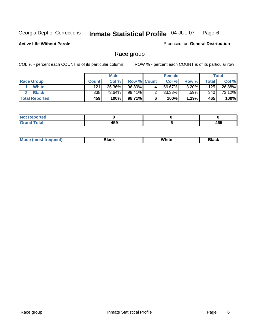**Active Life Without Parole** 

Produced for **General Distribution**

# Race group

|                       |              | <b>Male</b> |                    |   | <b>Female</b> |          |       | <b>Total</b> |
|-----------------------|--------------|-------------|--------------------|---|---------------|----------|-------|--------------|
| <b>Race Group</b>     | <b>Count</b> | Col %       | <b>Row % Count</b> |   | Col %         | Row %    | Total | Col %        |
| <b>White</b>          | 121          | 26.36%      | 96.80%             | 4 | 66.67%        | $3.20\%$ | 125   | 26.88%       |
| <b>Black</b>          | 338          | 73.64%      | 99.41%             |   | $33.33\%$     | .59%     | 340   | 73.12%       |
| <b>Total Reported</b> | 459          | 100%        | 98.71%             |   | 100%          | 1.29%    | 465   | 100%         |

| Reported<br>NI.       |     |     |
|-----------------------|-----|-----|
| <b>Cotal</b><br>_____ | 459 | 465 |

| $^1$ Mo. | Rlack | White | 3lack |
|----------|-------|-------|-------|
| .        |       |       |       |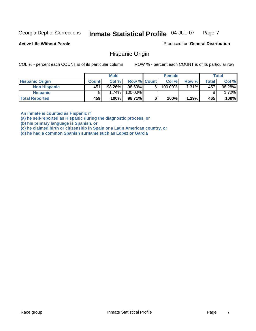**Active Life Without Parole** 

Produced for **General Distribution**

## Hispanic Origin

COL % - percent each COUNT is of its particular column ROW % - percent each COUNT is of its particular row

|                        |              | <b>Male</b> |             |    | <b>Female</b> |       |       | <b>Total</b> |
|------------------------|--------------|-------------|-------------|----|---------------|-------|-------|--------------|
| <b>Hispanic Origin</b> | <b>Count</b> | Col%        | Row % Count |    | Col %         | Row % | Total | Col %        |
| <b>Non Hispanic</b>    | 451          | 98.26%      | 98.69%      | 61 | 100.00%       | 1.31% | 457   | 98.28%       |
| <b>Hispanic</b>        |              | 1.74%       | 100.00%     |    |               |       |       | 1.72%        |
| <b>Total Reported</b>  | 459          | 100%        | 98.71%      |    | 100%          | 1.29% | 465   | 100%         |

**An inmate is counted as Hispanic if** 

**(a) he self-reported as Hispanic during the diagnostic process, or** 

**(b) his primary language is Spanish, or** 

**(c) he claimed birth or citizenship in Spain or a Latin American country, or** 

**(d) he had a common Spanish surname such as Lopez or Garcia**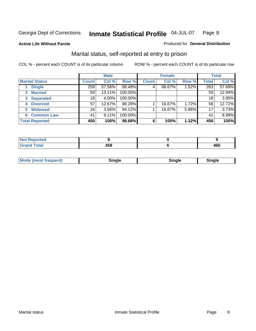#### **Active Life Without Parole**

#### Produced for **General Distribution**

# Marital status, self-reported at entry to prison

|                        |              | <b>Male</b> |         |              | <b>Female</b> |       |              | <b>Total</b> |  |
|------------------------|--------------|-------------|---------|--------------|---------------|-------|--------------|--------------|--|
| <b>Marital Status</b>  | <b>Count</b> | Col %       | Row %   | <b>Count</b> | Col %         | Row % | <b>Total</b> | Col %        |  |
| <b>Single</b>          | 259          | 57.56%      | 98.48%  | 4            | 66.67%        | 1.52% | 263          | 57.68%       |  |
| <b>Married</b><br>2    | 59           | 13.11%      | 100.00% |              |               |       | 59           | 12.94%       |  |
| <b>Separated</b><br>3  | 18           | 4.00%       | 100.00% |              |               |       | 18           | 3.95%        |  |
| <b>Divorced</b><br>4   | 57           | 12.67%      | 98.28%  |              | 16.67%        | 1.72% | 58           | 12.72%       |  |
| <b>Widowed</b><br>5    | 16           | $3.56\%$    | 94.12%  |              | 16.67%        | 5.88% | 17           | 3.73%        |  |
| <b>Common Law</b><br>6 | 41           | 9.11%       | 100.00% |              |               |       | 41           | 8.99%        |  |
| <b>Total Reported</b>  | 450          | 100%        | 98.68%  | 6            | 100%          | 1.32% | 456          | 100%         |  |

| _____ | .<br>TV.<br>__ | 1 C C<br>᠇ᢦᢦ<br>__ |
|-------|----------------|--------------------|

| <b>Mode (most frequent)</b><br>sınale | Sinale | Single |
|---------------------------------------|--------|--------|
|---------------------------------------|--------|--------|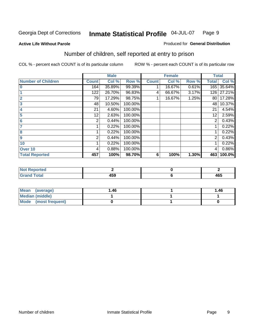#### **Active Life Without Parole**

#### Produced for **General Distribution**

# Number of children, self reported at entry to prison

|                           |              | <b>Male</b> |         |              | <b>Female</b> |       | <b>Total</b> |        |
|---------------------------|--------------|-------------|---------|--------------|---------------|-------|--------------|--------|
| <b>Number of Children</b> | <b>Count</b> | Col %       | Row %   | <b>Count</b> | Col %         | Row % | <b>Total</b> | Col %  |
| $\bf{0}$                  | 164          | 35.89%      | 99.39%  |              | 16.67%        | 0.61% | 165          | 35.64% |
|                           | 122          | 26.70%      | 96.83%  | 4            | 66.67%        | 3.17% | 126          | 27.21% |
| $\overline{2}$            | 79           | 17.29%      | 98.75%  |              | 16.67%        | 1.25% | 80           | 17.28% |
| 3                         | 48           | 10.50%      | 100.00% |              |               |       | 48           | 10.37% |
| 4                         | 21           | 4.60%       | 100.00% |              |               |       | 21           | 4.54%  |
| 5                         | 12           | 2.63%       | 100.00% |              |               |       | 12           | 2.59%  |
| $6\phantom{a}$            | 2            | 0.44%       | 100.00% |              |               |       | 2            | 0.43%  |
|                           |              | 0.22%       | 100.00% |              |               |       |              | 0.22%  |
| 8                         |              | 0.22%       | 100.00% |              |               |       |              | 0.22%  |
| 9                         | 2            | 0.44%       | 100.00% |              |               |       | 2            | 0.43%  |
| 10                        |              | 0.22%       | 100.00% |              |               |       |              | 0.22%  |
| Over 10                   | 4            | 0.88%       | 100.00% |              |               |       | 4            | 0.86%  |
| <b>Total Reported</b>     | 457          | 100%        | 98.70%  | 6            | 100%          | 1.30% | 463          | 100.0% |

| ™rteu<br>$\sim$  |     |                 |
|------------------|-----|-----------------|
| <b>otal</b>      | .   | $\overline{10}$ |
| $\mathbf{v}$ and | rJJ | 403             |

| <b>Mean</b><br>(average) | 1.46 | 1.46 |
|--------------------------|------|------|
| <b>Median (middle)</b>   |      |      |
| Mode (most frequent)     |      |      |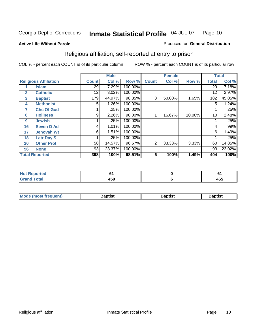#### **Active Life Without Parole**

#### Produced for **General Distribution**

# Religious affiliation, self-reported at entry to prison

|              |                              |              | <b>Male</b> |         |                | <b>Female</b> |        |              | <b>Total</b> |
|--------------|------------------------------|--------------|-------------|---------|----------------|---------------|--------|--------------|--------------|
|              | <b>Religious Affiliation</b> | <b>Count</b> | Col %       | Row %   | <b>Count</b>   | Col %         | Row %  | <b>Total</b> | Col %        |
|              | <b>Islam</b>                 | 29           | 7.29%       | 100.00% |                |               |        | 29           | 7.18%        |
| $\mathbf{2}$ | <b>Catholic</b>              | 12           | 3.02%       | 100.00% |                |               |        | 12           | 2.97%        |
| 3            | <b>Baptist</b>               | 179          | 44.97%      | 98.35%  | 3              | 50.00%        | 1.65%  | 182          | 45.05%       |
| 4            | <b>Methodist</b>             | 5            | 1.26%       | 100.00% |                |               |        | 5            | 1.24%        |
| 7            | <b>Chc Of God</b>            |              | .25%        | 100.00% |                |               |        |              | .25%         |
| 8            | <b>Holiness</b>              | 9            | 2.26%       | 90.00%  |                | 16.67%        | 10.00% | 10           | 2.48%        |
| 9            | <b>Jewish</b>                |              | .25%        | 100.00% |                |               |        |              | .25%         |
| 16           | <b>Seven D Ad</b>            | 4            | 1.01%       | 100.00% |                |               |        | 4            | .99%         |
| 17           | <b>Jehovah Wt</b>            | 6            | 1.51%       | 100.00% |                |               |        | 6            | 1.49%        |
| 18           | <b>Latr Day S</b>            |              | .25%        | 100.00% |                |               |        |              | .25%         |
| 20           | <b>Other Prot</b>            | 58           | 14.57%      | 96.67%  | $\overline{2}$ | 33.33%        | 3.33%  | 60           | 14.85%       |
| 96           | <b>None</b>                  | 93           | 23.37%      | 100.00% |                |               |        | 93           | 23.02%       |
|              | <b>Total Reported</b>        | 398          | 100%        | 98.51%  | 6              | 100%          | 1.49%  | 404          | 100%         |

| <b>rted</b><br>N |              | u   |
|------------------|--------------|-----|
|                  | 1 F A<br>4ວອ | 465 |

| ' Mo<br>went | <b>}aptist</b> | Baptist<br>$ -$ | <b>Baptist</b> |
|--------------|----------------|-----------------|----------------|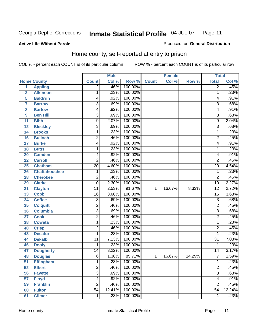Produced for **General Distribution**

#### **Active Life Without Parole**

# Home county, self-reported at entry to prison

|                |                      |                         | <b>Male</b> |         |              | <b>Female</b> |        | <b>Total</b>    |        |
|----------------|----------------------|-------------------------|-------------|---------|--------------|---------------|--------|-----------------|--------|
|                | <b>Home County</b>   | <b>Count</b>            | Col %       | Row %   | <b>Count</b> | Col %         | Row %  | <b>Total</b>    | Col %  |
| 1              | <b>Appling</b>       | $\overline{2}$          | .46%        | 100.00% |              |               |        | $\overline{2}$  | .45%   |
| $\overline{2}$ | <b>Atkinson</b>      | 1                       | .23%        | 100.00% |              |               |        | 1               | .23%   |
| 5              | <b>Baldwin</b>       | 4                       | .92%        | 100.00% |              |               |        | 4               | .91%   |
| 7              | <b>Barrow</b>        | $\overline{3}$          | .69%        | 100.00% |              |               |        | 3               | .68%   |
| 8              | <b>Bartow</b>        | 4                       | .92%        | 100.00% |              |               |        | 4               | .91%   |
| 9              | <b>Ben Hill</b>      | $\overline{3}$          | .69%        | 100.00% |              |               |        | $\overline{3}$  | .68%   |
| 11             | <b>Bibb</b>          | 9                       | 2.07%       | 100.00% |              |               |        | 9               | 2.04%  |
| 12             | <b>Bleckley</b>      | $\overline{3}$          | .69%        | 100.00% |              |               |        | 3               | .68%   |
| 14             | <b>Brooks</b>        | 1                       | .23%        | 100.00% |              |               |        | 1               | .23%   |
| 16             | <b>Bulloch</b>       | $\overline{2}$          | .46%        | 100.00% |              |               |        | $\overline{2}$  | .45%   |
| 17             | <b>Burke</b>         | 4                       | .92%        | 100.00% |              |               |        | 4               | .91%   |
| 18             | <b>Butts</b>         | 1                       | .23%        | 100.00% |              |               |        | 1               | .23%   |
| 20             | <b>Camden</b>        | 4                       | .92%        | 100.00% |              |               |        | 4               | .91%   |
| 22             | <b>Carroll</b>       | $\overline{2}$          | .46%        | 100.00% |              |               |        | $\overline{2}$  | .45%   |
| 25             | <b>Chatham</b>       | $\overline{20}$         | 4.60%       | 100.00% |              |               |        | $\overline{20}$ | 4.54%  |
| 26             | <b>Chattahoochee</b> | 1                       | .23%        | 100.00% |              |               |        | 1               | .23%   |
| 28             | <b>Cherokee</b>      | $\overline{2}$          | .46%        | 100.00% |              |               |        | $\overline{2}$  | .45%   |
| 29             | <b>Clarke</b>        | $\overline{10}$         | 2.30%       | 100.00% |              |               |        | $\overline{10}$ | 2.27%  |
| 31             | <b>Clayton</b>       | $\overline{11}$         | 2.53%       | 91.67%  | 1            | 16.67%        | 8.33%  | $\overline{12}$ | 2.72%  |
| 33             | <b>Cobb</b>          | 16                      | 3.68%       | 100.00% |              |               |        | 16              | 3.63%  |
| 34             | <b>Coffee</b>        | $\overline{3}$          | .69%        | 100.00% |              |               |        | $\overline{3}$  | .68%   |
| 35             | <b>Colquitt</b>      | $\overline{2}$          | .46%        | 100.00% |              |               |        | $\overline{2}$  | .45%   |
| 36             | <b>Columbia</b>      | $\overline{3}$          | .69%        | 100.00% |              |               |        | $\overline{3}$  | .68%   |
| 37             | <b>Cook</b>          | $\overline{2}$          | .46%        | 100.00% |              |               |        | $\overline{2}$  | .45%   |
| 38             | <b>Coweta</b>        | 1                       | .23%        | 100.00% |              |               |        | 1               | .23%   |
| 40             | <b>Crisp</b>         | $\overline{\mathbf{c}}$ | .46%        | 100.00% |              |               |        | $\overline{2}$  | .45%   |
| 43             | <b>Decatur</b>       | 1                       | .23%        | 100.00% |              |               |        | 1               | .23%   |
| 44             | <b>Dekalb</b>        | $\overline{31}$         | 7.13%       | 100.00% |              |               |        | $\overline{31}$ | 7.03%  |
| 46             | <b>Dooly</b>         | 1                       | .23%        | 100.00% |              |               |        | 1               | .23%   |
| 47             | <b>Dougherty</b>     | 14                      | 3.22%       | 100.00% |              |               |        | $\overline{14}$ | 3.17%  |
| 48             | <b>Douglas</b>       | $\overline{6}$          | 1.38%       | 85.71%  | $\mathbf{1}$ | 16.67%        | 14.29% | 7               | 1.59%  |
| 51             | <b>Effingham</b>     | 1                       | .23%        | 100.00% |              |               |        | 1               | .23%   |
| 52             | <b>Elbert</b>        | $\overline{2}$          | .46%        | 100.00% |              |               |        | $\overline{2}$  | .45%   |
| 56             | <b>Fayette</b>       | $\overline{3}$          | .69%        | 100.00% |              |               |        | $\overline{3}$  | .68%   |
| 57             | <b>Floyd</b>         | 4                       | .92%        | 100.00% |              |               |        | 4               | .91%   |
| 59             | <b>Franklin</b>      | $\overline{2}$          | .46%        | 100.00% |              |               |        | $\overline{2}$  | .45%   |
| 60             | <b>Fulton</b>        | $\overline{54}$         | 12.41%      | 100.00% |              |               |        | $\overline{54}$ | 12.24% |
| 61             | <b>Gilmer</b>        | 1                       | .23%        | 100.00% |              |               |        | 1               | .23%   |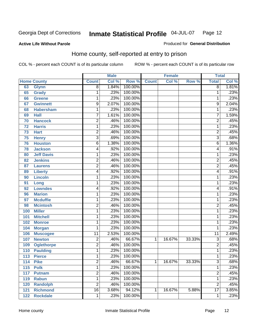#### **Active Life Without Parole**

# Produced for **General Distribution**

# Home county, self-reported at entry to prison

|     |                    |                 | <b>Male</b> |         |              | <b>Female</b> |        | <b>Total</b>    |       |
|-----|--------------------|-----------------|-------------|---------|--------------|---------------|--------|-----------------|-------|
|     | <b>Home County</b> | <b>Count</b>    | Col %       | Row %   | <b>Count</b> | Col %         | Row %  | <b>Total</b>    | Col % |
| 63  | <b>Glynn</b>       | 8               | 1.84%       | 100.00% |              |               |        | 8               | 1.81% |
| 65  | <b>Grady</b>       | 1               | .23%        | 100.00% |              |               |        | 1               | .23%  |
| 66  | <b>Greene</b>      | 1               | .23%        | 100.00% |              |               |        | 1               | .23%  |
| 67  | <b>Gwinnett</b>    | 9               | 2.07%       | 100.00% |              |               |        | 9               | 2.04% |
| 68  | <b>Habersham</b>   | 1               | .23%        | 100.00% |              |               |        | 1               | .23%  |
| 69  | <b>Hall</b>        | $\overline{7}$  | 1.61%       | 100.00% |              |               |        | $\overline{7}$  | 1.59% |
| 70  | <b>Hancock</b>     | 2               | .46%        | 100.00% |              |               |        | $\overline{2}$  | .45%  |
| 72  | <b>Harris</b>      | 1               | .23%        | 100.00% |              |               |        | 1               | .23%  |
| 73  | <b>Hart</b>        | $\overline{c}$  | .46%        | 100.00% |              |               |        | $\overline{c}$  | .45%  |
| 75  | <b>Henry</b>       | 3               | .69%        | 100.00% |              |               |        | $\overline{3}$  | .68%  |
| 76  | <b>Houston</b>     | 6               | 1.38%       | 100.00% |              |               |        | 6               | 1.36% |
| 78  | <b>Jackson</b>     | 4               | .92%        | 100.00% |              |               |        | 4               | .91%  |
| 80  | <b>Jeff Davis</b>  | 1               | .23%        | 100.00% |              |               |        | 1               | .23%  |
| 82  | <b>Jenkins</b>     | $\overline{2}$  | .46%        | 100.00% |              |               |        | $\overline{2}$  | .45%  |
| 87  | <b>Laurens</b>     | 2               | .46%        | 100.00% |              |               |        | $\overline{2}$  | .45%  |
| 89  | <b>Liberty</b>     | 4               | .92%        | 100.00% |              |               |        | 4               | .91%  |
| 90  | <b>Lincoln</b>     | 1               | .23%        | 100.00% |              |               |        | 1               | .23%  |
| 91  | Long               | 1               | .23%        | 100.00% |              |               |        | 1               | .23%  |
| 92  | <b>Lowndes</b>     | 4               | .92%        | 100.00% |              |               |        | 4               | .91%  |
| 96  | <b>Marion</b>      | 1               | .23%        | 100.00% |              |               |        | 1               | .23%  |
| 97  | <b>Mcduffie</b>    | 1               | .23%        | 100.00% |              |               |        | 1               | .23%  |
| 98  | <b>Mcintosh</b>    | $\overline{2}$  | .46%        | 100.00% |              |               |        | $\overline{2}$  | .45%  |
| 100 | <b>Miller</b>      | 1               | .23%        | 100.00% |              |               |        | 1               | .23%  |
| 101 | <b>Mitchell</b>    | 1               | .23%        | 100.00% |              |               |        | 1               | .23%  |
| 102 | <b>Monroe</b>      | 1               | .23%        | 100.00% |              |               |        | 1               | .23%  |
| 104 | <b>Morgan</b>      | 1               | .23%        | 100.00% |              |               |        | 1               | .23%  |
| 106 | <b>Muscogee</b>    | $\overline{11}$ | 2.53%       | 100.00% |              |               |        | $\overline{11}$ | 2.49% |
| 107 | <b>Newton</b>      | $\overline{c}$  | .46%        | 66.67%  | 1            | 16.67%        | 33.33% | 3               | .68%  |
| 109 | <b>Oglethorpe</b>  | $\overline{2}$  | .46%        | 100.00% |              |               |        | $\overline{2}$  | .45%  |
| 110 | <b>Paulding</b>    | 1               | .23%        | 100.00% |              |               |        | 1               | .23%  |
| 113 | <b>Pierce</b>      | 1               | .23%        | 100.00% |              |               |        | 1               | .23%  |
| 114 | <b>Pike</b>        | 2               | .46%        | 66.67%  | 1            | 16.67%        | 33.33% | 3               | .68%  |
| 115 | <b>Polk</b>        | 1               | .23%        | 100.00% |              |               |        | 1               | .23%  |
| 117 | <b>Putnam</b>      | $\overline{2}$  | .46%        | 100.00% |              |               |        | $\overline{2}$  | .45%  |
| 119 | <b>Rabun</b>       | $\overline{1}$  | .23%        | 100.00% |              |               |        | 1               | .23%  |
| 120 | <b>Randolph</b>    | $\overline{2}$  | .46%        | 100.00% |              |               |        | $\overline{2}$  | .45%  |
| 121 | <b>Richmond</b>    | $\overline{16}$ | 3.68%       | 94.12%  | 1            | 16.67%        | 5.88%  | $\overline{17}$ | 3.85% |
| 122 | <b>Rockdale</b>    | 1               | .23%        | 100.00% |              |               |        | 1               | .23%  |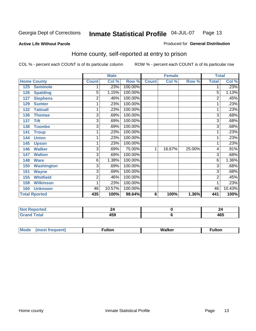Produced for **General Distribution**

#### **Active Life Without Parole**

# Home county, self-reported at entry to prison

|     |                      |                | <b>Male</b> |         |              | <b>Female</b> |        | <b>Total</b>   |         |
|-----|----------------------|----------------|-------------|---------|--------------|---------------|--------|----------------|---------|
|     | <b>Home County</b>   | <b>Count</b>   | Col %       | Row %   | <b>Count</b> | Col %         | Row %  | <b>Total</b>   | Col %   |
| 125 | <b>Seminole</b>      |                | .23%        | 100.00% |              |               |        |                | .23%    |
| 126 | <b>Spalding</b>      | 5              | 1.15%       | 100.00% |              |               |        | 5              | 1.13%   |
| 127 | <b>Stephens</b>      | 2              | .46%        | 100.00% |              |               |        | 2              | .45%    |
| 129 | <b>Sumter</b>        | 1              | .23%        | 100.00% |              |               |        |                | .23%    |
| 132 | <b>Tattnall</b>      | 1              | .23%        | 100.00% |              |               |        |                | .23%    |
| 136 | <b>Thomas</b>        | 3              | .69%        | 100.00% |              |               |        | 3              | .68%    |
| 137 | <b>Tift</b>          | 3              | .69%        | 100.00% |              |               |        | 3              | .68%    |
| 138 | <b>Toombs</b>        | $\overline{3}$ | .69%        | 100.00% |              |               |        | 3              | .68%    |
| 141 | <b>Troup</b>         | 1              | .23%        | 100.00% |              |               |        |                | .23%    |
| 144 | <b>Union</b>         | 1              | .23%        | 100.00% |              |               |        |                | .23%    |
| 145 | <b>Upson</b>         | 1              | .23%        | 100.00% |              |               |        |                | .23%    |
| 146 | <b>Walker</b>        | 3              | .69%        | 75.00%  | 1            | 16.67%        | 25.00% | 4              | .91%    |
| 147 | <b>Walton</b>        | 3              | .69%        | 100.00% |              |               |        | 3              | .68%    |
| 148 | <b>Ware</b>          | 6              | 1.38%       | 100.00% |              |               |        | 6              | 1.36%   |
| 150 | <b>Washington</b>    | 3              | .69%        | 100.00% |              |               |        | 3              | .68%    |
| 151 | <b>Wayne</b>         | 3              | .69%        | 100.00% |              |               |        | 3              | .68%    |
| 155 | <b>Whitfield</b>     | 2              | .46%        | 100.00% |              |               |        | $\overline{c}$ | $.45\%$ |
| 158 | <b>Wilkinson</b>     | 1              | .23%        | 100.00% |              |               |        |                | .23%    |
| 160 | <b>Unknown</b>       | 46             | 10.57%      | 100.00% |              |               |        | 46             | 10.43%  |
|     | <b>Total Rported</b> | 435            | 100%        | 98.64%  | 6            | 100%          | 1.36%  | 441            | 100%    |

| τeα<br>.                           |                                 | 44  |
|------------------------------------|---------------------------------|-----|
| $\sim$ $\sim$ $\sim$ $\sim$ $\sim$ | $\overline{\phantom{a}}$<br>স∪ত | 465 |

| M<br>. .<br>7<br>. <b>. </b> . |  |  |
|--------------------------------|--|--|
|                                |  |  |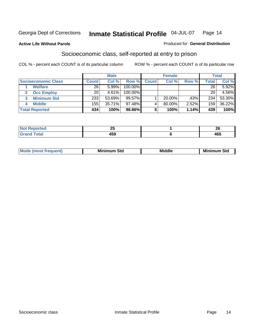#### **Active Life Without Parole**

#### Produced for **General Distribution**

# Socioeconomic class, self-reported at entry to prison

|                            |       | <b>Male</b> |            |              | <b>Female</b> |       |              | <b>Total</b> |
|----------------------------|-------|-------------|------------|--------------|---------------|-------|--------------|--------------|
| <b>Socioeconomic Class</b> | Count | Col %       | Row %      | <b>Count</b> | Col %         | Row % | <b>Total</b> | Col %        |
| <b>Welfare</b>             | 26    | 5.99%       | 100.00%    |              |               |       | 26           | 5.92%        |
| <b>Occ Employ</b>          | 20    | 4.61%       | $100.00\%$ |              |               |       | 20           | 4.56%        |
| <b>Minimum Std</b>         | 233   | 53.69%      | $99.57\%$  |              | $20.00\%$     | .43%  | 234          | 53.30%       |
| <b>Middle</b>              | 155   | 35.71%      | 97.48%     |              | 80.00%        | 2.52% | 159          | 36.22%       |
| <b>Total Reported</b>      | 434   | 100%        | 98.86%     |              | 100%          | 1.14% | 439          | 100%         |

| <b>Contractor</b>     | - -                      | - -       |
|-----------------------|--------------------------|-----------|
| tet.                  | $\overline{\phantom{a}}$ | r.        |
| $f \wedge f \wedge f$ | 459                      | 10F<br>טט |

| .<br>___ |
|----------|
|----------|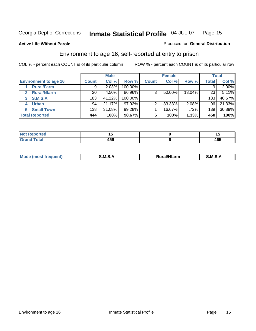#### **Active Life Without Parole**

## Produced for **General Distribution**

# Environment to age 16, self-reported at entry to prison

|                              |                 | <b>Male</b> |            |              | <b>Female</b> |        |              | <b>Total</b> |
|------------------------------|-----------------|-------------|------------|--------------|---------------|--------|--------------|--------------|
| <b>Environment to age 16</b> | <b>Count</b>    | Col %       | Row %      | <b>Count</b> | Col %         | Row %  | <b>Total</b> | Col %        |
| <b>Rural/Farm</b>            | 9               | 2.03%       | 100.00%    |              |               |        |              | $2.00\%$     |
| <b>Rural/Nfarm</b><br>2      | 20 <sub>1</sub> | 4.50%       | 86.96%     | 3            | 50.00%        | 13.04% | 23           | 5.11%        |
| <b>S.M.S.A</b><br>3          | 183             | 41.22%      | $100.00\%$ |              |               |        | 183          | 40.67%       |
| <b>Urban</b><br>4            | 94              | 21.17%      | 97.92%     | ⌒            | 33.33%        | 2.08%  | 96           | 21.33%       |
| <b>Small Town</b>            | 138             | 31.08%      | 99.28%     |              | 16.67%        | .72%   | 139          | 30.89%       |
| <b>Total Reported</b>        | 444             | 100%        | 98.67%     | 6            | 100%          | 1.33%  | 450          | 100%         |

| Reported<br>Not       |     | . .      |
|-----------------------|-----|----------|
| <b>Total</b><br>Grand | 459 | .<br>40ა |

| Mo<br><b>CONTRACTOR</b><br>. M S<br>M<br>---<br>Nfarn<br>.<br>_____<br>______ |  |  |
|-------------------------------------------------------------------------------|--|--|
|                                                                               |  |  |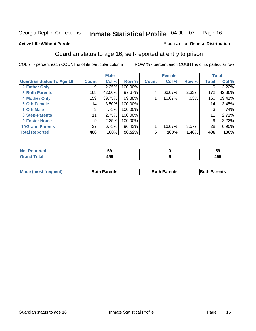Produced for **General Distribution**

#### **Active Life Without Parole**

# Guardian status to age 16, self-reported at entry to prison

|                                  |                 | <b>Male</b> |         |              | <b>Female</b> |       |              | <b>Total</b> |
|----------------------------------|-----------------|-------------|---------|--------------|---------------|-------|--------------|--------------|
| <b>Guardian Status To Age 16</b> | <b>Count</b>    | Col %       | Row %   | <b>Count</b> | Col %         | Row % | <b>Total</b> | Col %        |
| 2 Father Only                    | 9               | 2.25%       | 100.00% |              |               |       | 9            | 2.22%        |
| <b>3 Both Parents</b>            | 168             | 42.00%      | 97.67%  | 4            | 66.67%        | 2.33% | 172          | 42.36%       |
| <b>4 Mother Only</b>             | 159             | 39.75%      | 99.38%  |              | 16.67%        | .63%  | 160          | 39.41%       |
| <b>6 Oth Female</b>              | 14              | 3.50%       | 100.00% |              |               |       | 14           | 3.45%        |
| <b>7 Oth Male</b>                | 3               | .75%        | 100.00% |              |               |       | 3            | .74%         |
| 8 Step-Parents                   | 11              | 2.75%       | 100.00% |              |               |       | 11           | 2.71%        |
| <b>9 Foster Home</b>             | 9               | 2.25%       | 100.00% |              |               |       | 9            | 2.22%        |
| <b>10 Grand Parents</b>          | 27 <sup>1</sup> | 6.75%       | 96.43%  |              | 16.67%        | 3.57% | 28           | 6.90%        |
| <b>Total Reported</b>            | 400             | 100%        | 98.52%  | 6            | 100%          | 1.48% | 406          | 100%         |

|                             | Jũ          | --<br>5<br>JJ         |
|-----------------------------|-------------|-----------------------|
| $\sim$ $\sim$ $\sim$ $\sim$ | . רמ<br>700 | $\overline{ }$<br>40ວ |

| <b>Mode (most frequent)</b> | <b>Both Parents</b> | <b>Both Parents</b> | <b>IBoth Parents</b> |
|-----------------------------|---------------------|---------------------|----------------------|
|                             |                     |                     |                      |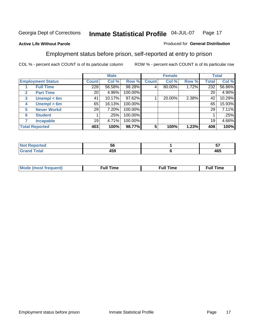#### **Active Life Without Parole**

#### Produced for **General Distribution**

# Employment status before prison, self-reported at entry to prison

|              |                          |              | <b>Male</b> |         |              | <b>Female</b> |       |       | <b>Total</b> |
|--------------|--------------------------|--------------|-------------|---------|--------------|---------------|-------|-------|--------------|
|              | <b>Employment Status</b> | <b>Count</b> | Col %       | Row %   | <b>Count</b> | Col %         | Row % | Total | Col %        |
|              | <b>Full Time</b>         | 228          | 56.58%      | 98.28%  |              | 80.00%        | 1.72% | 232   | 56.86%       |
| $\mathbf{2}$ | <b>Part Time</b>         | 20           | 4.96%       | 100.00% |              |               |       | 20    | 4.90%        |
| 3            | Unempl $<$ 6m            | 41           | 10.17%      | 97.62%  |              | 20.00%        | 2.38% | 42    | 10.29%       |
| 4            | Unempl $> 6m$            | 65           | 16.13%      | 100.00% |              |               |       | 65    | 15.93%       |
| 5            | <b>Never Workd</b>       | 29           | 7.20%       | 100.00% |              |               |       | 29    | 7.11%        |
| 6            | <b>Student</b>           |              | .25%        | 100.00% |              |               |       |       | .25%         |
|              | <b>Incapable</b>         | 19           | 4.71%       | 100.00% |              |               |       | 19    | 4.66%        |
|              | <b>Total Reported</b>    | 403          | 100%        | 98.77%  | 5            | 100%          | 1.23% | 408   | 100%         |

| ver. | უი    | v                 |
|------|-------|-------------------|
| $ -$ | 1 E N | $\sqrt{2}$<br>465 |

| <b>M</b> ດ | the contract of the contract of the contract of the contract of the contract of the contract of the contract of | the contract of the contract of the contract of the contract of the contract of the contract of the contract of | ----<br><b>Full Time</b> |
|------------|-----------------------------------------------------------------------------------------------------------------|-----------------------------------------------------------------------------------------------------------------|--------------------------|
|            |                                                                                                                 |                                                                                                                 |                          |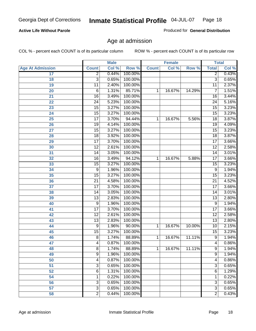#### **Active Life Without Parole**

Produced for **General Distribution**

# Age at admission

|                         |                 | <b>Male</b> |         |              | <b>Female</b> |        | <b>Total</b>    |       |
|-------------------------|-----------------|-------------|---------|--------------|---------------|--------|-----------------|-------|
| <b>Age At Admission</b> | <b>Count</b>    | Col %       | Row %   | <b>Count</b> | Col %         | Row %  | <b>Total</b>    | Col % |
| 17                      | $\overline{2}$  | 0.44%       | 100.00% |              |               |        | 2               | 0.43% |
| 18                      | $\overline{3}$  | 0.65%       | 100.00% |              |               |        | $\overline{3}$  | 0.65% |
| 19                      | $\overline{11}$ | 2.40%       | 100.00% |              |               |        | $\overline{11}$ | 2.37% |
| 20                      | 6               | 1.31%       | 85.71%  | 1            | 16.67%        | 14.29% | 7               | 1.51% |
| 21                      | $\overline{16}$ | 3.49%       | 100.00% |              |               |        | 16              | 3.44% |
| 22                      | $\overline{24}$ | 5.23%       | 100.00% |              |               |        | $\overline{24}$ | 5.16% |
| 23                      | $\overline{15}$ | 3.27%       | 100.00% |              |               |        | $\overline{15}$ | 3.23% |
| 24                      | $\overline{15}$ | 3.27%       | 100.00% |              |               |        | 15              | 3.23% |
| 25                      | $\overline{17}$ | 3.70%       | 94.44%  | 1            | 16.67%        | 5.56%  | $\overline{18}$ | 3.87% |
| 26                      | 19              | 4.14%       | 100.00% |              |               |        | 19              | 4.09% |
| 27                      | $\overline{15}$ | 3.27%       | 100.00% |              |               |        | $\overline{15}$ | 3.23% |
| 28                      | $\overline{18}$ | 3.92%       | 100.00% |              |               |        | 18              | 3.87% |
| 29                      | $\overline{17}$ | 3.70%       | 100.00% |              |               |        | $\overline{17}$ | 3.66% |
| 30                      | $\overline{12}$ | 2.61%       | 100.00% |              |               |        | $\overline{12}$ | 2.58% |
| 31                      | $\overline{14}$ | 3.05%       | 100.00% |              |               |        | $\overline{14}$ | 3.01% |
| 32                      | 16              | 3.49%       | 94.12%  | 1            | 16.67%        | 5.88%  | 17              | 3.66% |
| 33                      | 15              | 3.27%       | 100.00% |              |               |        | 15              | 3.23% |
| 34                      | 9               | 1.96%       | 100.00% |              |               |        | 9               | 1.94% |
| 35                      | 15              | 3.27%       | 100.00% |              |               |        | $\overline{15}$ | 3.23% |
| 36                      | $\overline{21}$ | 4.58%       | 100.00% |              |               |        | $\overline{21}$ | 4.52% |
| 37                      | $\overline{17}$ | 3.70%       | 100.00% |              |               |        | $\overline{17}$ | 3.66% |
| 38                      | $\overline{14}$ | 3.05%       | 100.00% |              |               |        | 14              | 3.01% |
| 39                      | $\overline{13}$ | 2.83%       | 100.00% |              |               |        | $\overline{13}$ | 2.80% |
| 40                      | 9               | 1.96%       | 100.00% |              |               |        | 9               | 1.94% |
| 41                      | $\overline{17}$ | 3.70%       | 100.00% |              |               |        | $\overline{17}$ | 3.66% |
| 42                      | $\overline{12}$ | 2.61%       | 100.00% |              |               |        | 12              | 2.58% |
| 43                      | $\overline{13}$ | 2.83%       | 100.00% |              |               |        | $\overline{13}$ | 2.80% |
| 44                      | 9               | 1.96%       | 90.00%  | 1            | 16.67%        | 10.00% | 10              | 2.15% |
| 45                      | 15              | 3.27%       | 100.00% |              |               |        | $\overline{15}$ | 3.23% |
| 46                      | 8               | 1.74%       | 88.89%  | 1            | 16.67%        | 11.11% | 9               | 1.94% |
| 47                      | 4               | 0.87%       | 100.00% |              |               |        | $\overline{4}$  | 0.86% |
| 48                      | 8               | 1.74%       | 88.89%  | 1            | 16.67%        | 11.11% | 9               | 1.94% |
| 49                      | 9               | 1.96%       | 100.00% |              |               |        | 9               | 1.94% |
| 50                      | 4               | 0.87%       | 100.00% |              |               |        | 4               | 0.86% |
| 51                      | 3               | 0.65%       | 100.00% |              |               |        | $\overline{3}$  | 0.65% |
| 52                      | 6               | 1.31%       | 100.00% |              |               |        | 6               | 1.29% |
| 54                      | 1               | 0.22%       | 100.00% |              |               |        | 1               | 0.22% |
| 56                      | 3               | 0.65%       | 100.00% |              |               |        | $\overline{3}$  | 0.65% |
| 57                      | $\overline{3}$  | 0.65%       | 100.00% |              |               |        | $\overline{3}$  | 0.65% |
| 58                      | $\overline{2}$  | 0.44%       | 100.00% |              |               |        | $\overline{2}$  | 0.43% |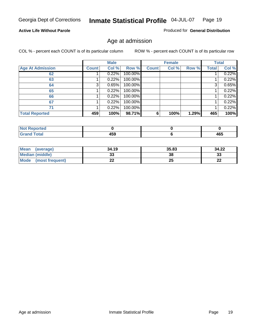#### **Active Life Without Parole**

Produced for **General Distribution**

# Age at admission

|                         |              | <b>Male</b> |         |              | <b>Female</b> |       |              | <b>Total</b> |
|-------------------------|--------------|-------------|---------|--------------|---------------|-------|--------------|--------------|
| <b>Age At Admission</b> | <b>Count</b> | Col %       | Row %   | <b>Count</b> | Col %         | Row % | <b>Total</b> | Col %        |
| 62                      |              | 0.22%       | 100.00% |              |               |       |              | 0.22%        |
| 63                      |              | 0.22%       | 100.00% |              |               |       |              | 0.22%        |
| 64                      | 3            | 0.65%       | 100.00% |              |               |       | 3            | 0.65%        |
| 65                      |              | 0.22%       | 100.00% |              |               |       |              | 0.22%        |
| 66                      |              | 0.22%       | 100.00% |              |               |       |              | 0.22%        |
| 67                      |              | 0.22%       | 100.00% |              |               |       |              | 0.22%        |
| 71                      |              | 0.22%       | 100.00% |              |               |       |              | 0.22%        |
| <b>Total Reported</b>   | 459          | 100%        | 98.71%  | 6            | 100%          | 1.29% | 465          | 100%         |

| 1 F A<br>- - -<br>__ | $\overline{ }$<br>יטי |
|----------------------|-----------------------|

| Mean<br>(average)      | 34.19 | 35.83 | 34.22    |
|------------------------|-------|-------|----------|
| <b>Median (middle)</b> | აა    | 38    | າາ<br>ند |
| Mode (most frequent)   | ∸∸    | 25    | ົ<br>LL  |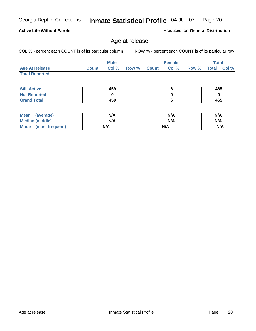**Active Life Without Parole** 

Georgia Dept of Corrections **Inmate Statistical Profile** 04-JUL-07 Page 20

# Produced for **General Distribution**

# Age at release

|                       |              | <b>Male</b> |       |              | <b>Female</b> |       |              | Total |
|-----------------------|--------------|-------------|-------|--------------|---------------|-------|--------------|-------|
| <b>Age At Release</b> | <b>Count</b> | Col%        | Row % | <b>Count</b> | Col%          | Row % | <b>Total</b> | Col % |
| <b>Total Reported</b> |              |             |       |              |               |       |              |       |

| <b>Still Active</b> | 459 | 465 |
|---------------------|-----|-----|
| <b>Not Reported</b> |     |     |
| <b>Grand Total</b>  | 459 | 465 |

| Mean (average)         | N/A | N/A | N/A |
|------------------------|-----|-----|-----|
| <b>Median (middle)</b> | N/A | N/A | N/A |
| Mode (most frequent)   | N/A | N/A | N/A |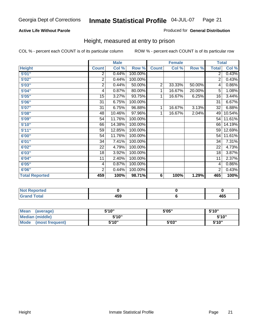#### **Active Life Without Parole**

#### Produced for **General Distribution**

# Height, measured at entry to prison

|                       |                | <b>Male</b> |         |                | <b>Female</b> |        | <b>Total</b>    |        |
|-----------------------|----------------|-------------|---------|----------------|---------------|--------|-----------------|--------|
| <b>Height</b>         | <b>Count</b>   | Col %       | Row %   | <b>Count</b>   | Col %         | Row %  | <b>Total</b>    | Col %  |
| 5'01''                | 2              | 0.44%       | 100.00% |                |               |        | $\overline{2}$  | 0.43%  |
| 5'02"                 | $\overline{2}$ | 0.44%       | 100.00% |                |               |        | $\overline{2}$  | 0.43%  |
| 5'03''                | $\overline{2}$ | 0.44%       | 50.00%  | $\overline{2}$ | 33.33%        | 50.00% | 4               | 0.86%  |
| 5'04"                 | 4              | 0.87%       | 80.00%  | 1              | 16.67%        | 20.00% | 5               | 1.08%  |
| 5'05"                 | 15             | 3.27%       | 93.75%  | 1              | 16.67%        | 6.25%  | 16              | 3.44%  |
| 5'06''                | 31             | 6.75%       | 100.00% |                |               |        | $\overline{31}$ | 6.67%  |
| 5'07''                | 31             | 6.75%       | 96.88%  | 1              | 16.67%        | 3.13%  | 32              | 6.88%  |
| 5'08"                 | 48             | 10.46%      | 97.96%  | 1              | 16.67%        | 2.04%  | 49              | 10.54% |
| 5'09''                | 54             | 11.76%      | 100.00% |                |               |        | 54              | 11.61% |
| 5'10''                | 66             | 14.38%      | 100.00% |                |               |        | 66              | 14.19% |
| 5'11''                | 59             | 12.85%      | 100.00% |                |               |        | 59              | 12.69% |
| 6'00"                 | 54             | 11.76%      | 100.00% |                |               |        | 54              | 11.61% |
| 6'01''                | 34             | 7.41%       | 100.00% |                |               |        | 34              | 7.31%  |
| 6'02"                 | 22             | 4.79%       | 100.00% |                |               |        | 22              | 4.73%  |
| 6'03"                 | 18             | 3.92%       | 100.00% |                |               |        | 18              | 3.87%  |
| 6'04"                 | 11             | 2.40%       | 100.00% |                |               |        | 11              | 2.37%  |
| 6'05"                 | 4              | 0.87%       | 100.00% |                |               |        | 4               | 0.86%  |
| 6'06"                 | $\overline{2}$ | 0.44%       | 100.00% |                |               |        | 2               | 0.43%  |
| <b>Total Reported</b> | 459            | 100%        | 98.71%  | 6              | 100%          | 1.29%  | 465             | 100%   |

| τeα<br>. |             |            |
|----------|-------------|------------|
| _____    | 459<br>$ -$ | ACF<br>40J |

| Mean<br>(average)              | 5'10" | 5'05" | 5'10" |
|--------------------------------|-------|-------|-------|
| Median (middle)                | 5'10" |       | 5'10" |
| <b>Mode</b><br>(most frequent) | 5'10" | 5'03" | 5'10" |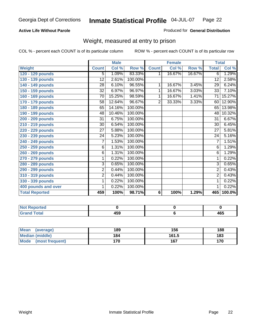#### **Active Life Without Parole**

#### Produced for **General Distribution**

# Weight, measured at entry to prison

|                       |                 | <b>Male</b> |         |                | <b>Female</b> |        |                 | <b>Total</b> |
|-----------------------|-----------------|-------------|---------|----------------|---------------|--------|-----------------|--------------|
| Weight                | <b>Count</b>    | Col %       | Row %   | <b>Count</b>   | Col %         | Row %  | <b>Total</b>    | Col %        |
| 120 - 129 pounds      | 5               | 1.09%       | 83.33%  | 1              | 16.67%        | 16.67% | 6               | 1.29%        |
| 130 - 139 pounds      | $\overline{12}$ | 2.61%       | 100.00% |                |               |        | 12              | 2.58%        |
| 140 - 149 pounds      | 28              | 6.10%       | 96.55%  | 1              | 16.67%        | 3.45%  | $\overline{29}$ | 6.24%        |
| 150 - 159 pounds      | 32              | 6.97%       | 96.97%  | 1              | 16.67%        | 3.03%  | 33              | 7.10%        |
| 160 - 169 pounds      | 70              | 15.25%      | 98.59%  | 1              | 16.67%        | 1.41%  | 71              | 15.27%       |
| 170 - 179 pounds      | 58              | 12.64%      | 96.67%  | $\overline{2}$ | 33.33%        | 3.33%  | 60              | 12.90%       |
| 180 - 189 pounds      | 65              | 14.16%      | 100.00% |                |               |        | 65              | 13.98%       |
| 190 - 199 pounds      | 48              | 10.46%      | 100.00% |                |               |        | 48              | 10.32%       |
| 200 - 209 pounds      | $\overline{31}$ | 6.75%       | 100.00% |                |               |        | $\overline{31}$ | 6.67%        |
| 210 - 219 pounds      | 30              | 6.54%       | 100.00% |                |               |        | 30              | 6.45%        |
| 220 - 229 pounds      | 27              | 5.88%       | 100.00% |                |               |        | 27              | 5.81%        |
| 230 - 239 pounds      | 24              | 5.23%       | 100.00% |                |               |        | 24              | 5.16%        |
| 240 - 249 pounds      | $\overline{7}$  | 1.53%       | 100.00% |                |               |        | $\overline{7}$  | 1.51%        |
| 250 - 259 pounds      | 6               | 1.31%       | 100.00% |                |               |        | 6               | 1.29%        |
| 260 - 269 pounds      | $\,6$           | 1.31%       | 100.00% |                |               |        | 6               | 1.29%        |
| 270 - 279 pounds      | 1               | 0.22%       | 100.00% |                |               |        | 1               | 0.22%        |
| 280 - 289 pounds      | 3               | 0.65%       | 100.00% |                |               |        | $\overline{3}$  | 0.65%        |
| 290 - 299 pounds      | 2               | 0.44%       | 100.00% |                |               |        | $\overline{2}$  | 0.43%        |
| 310 - 319 pounds      | 2               | 0.44%       | 100.00% |                |               |        | $\overline{2}$  | 0.43%        |
| 330 - 339 pounds      | 1               | 0.22%       | 100.00% |                |               |        | 1               | 0.22%        |
| 400 pounds and over   | 1               | 0.22%       | 100.00% |                |               |        | 1               | 0.22%        |
| <b>Total Reported</b> | 459             | 100%        | 98.71%  | 6              | 100%          | 1.29%  | 465             | 100.0%       |

| N0<br>oorted        |                               |              |
|---------------------|-------------------------------|--------------|
| `otal<br>_<br>_____ | $\overline{ }$<br>יטו<br>$ -$ | 1 C C<br>40J |

| Mean<br>(average)       | 189 | 156   | 188 |
|-------------------------|-----|-------|-----|
| Median (middle)         | 184 | 161.5 | 183 |
| Mode<br>(most frequent) | 170 | 167   | 170 |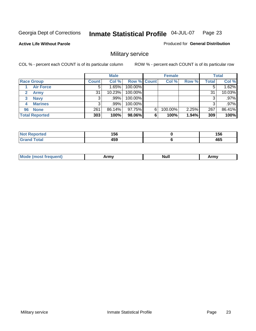**Active Life Without Parole** 

Produced for **General Distribution**

# Military service

|                       |              | <b>Male</b> |             |   | <b>Female</b> |       |              | <b>Total</b> |
|-----------------------|--------------|-------------|-------------|---|---------------|-------|--------------|--------------|
| <b>Race Group</b>     | <b>Count</b> | Col %       | Row % Count |   | Col %         | Row % | <b>Total</b> | Col %        |
| <b>Air Force</b>      | 5            | 1.65%       | 100.00%     |   |               |       | 5            | 1.62%        |
| <b>Army</b>           | 31           | 10.23%      | 100.00%     |   |               |       | 31           | 10.03%       |
| <b>Navy</b><br>3      |              | .99%        | 100.00%     |   |               |       | 3            | .97%         |
| <b>Marines</b><br>4   | 3            | $.99\%$     | 100.00%     |   |               |       | 3            | .97%         |
| 96 None               | 261          | 86.14%      | 97.75%      | 6 | 100.00%       | 2.25% | 267          | 86.41%       |
| <b>Total Reported</b> | 303          | 100%        | 98.06%      | 6 | 100%          | 1.94% | 309          | 100%         |

| the mode and control<br>тео | 1 E C<br>סכו<br>__ | 156<br>$ -$ |
|-----------------------------|--------------------|-------------|
| $C = 4 - 7$                 | 1 E O<br>າວວ       | 465         |

| M<br><b>INUIL</b><br>.<br>. |
|-----------------------------|
|-----------------------------|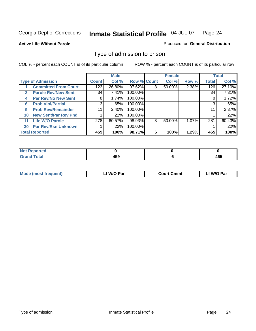#### **Active Life Without Parole**

#### Produced for **General Distribution**

# Type of admission to prison

|    |                             |              | <b>Male</b> |                    |   | <b>Female</b> |       |              | <b>Total</b> |
|----|-----------------------------|--------------|-------------|--------------------|---|---------------|-------|--------------|--------------|
|    | <b>Type of Admission</b>    | <b>Count</b> | Col %       | <b>Row % Count</b> |   | Col %         | Row % | <b>Total</b> | Col %        |
|    | <b>Committed From Court</b> | 123          | 26.80%      | 97.62%             | 3 | 50.00%        | 2.38% | 126          | 27.10%       |
| 3  | <b>Parole Rev/New Sent</b>  | 34           | 7.41%       | 100.00%            |   |               |       | 34           | 7.31%        |
| 4  | <b>Par Rev/No New Sent</b>  | 8            | 1.74%       | 100.00%            |   |               |       | 8            | 1.72%        |
| 6  | <b>Prob Viol/Partial</b>    | 3            | .65%        | 100.00%            |   |               |       | 3            | .65%         |
| 9  | <b>Prob Rev/Remainder</b>   | 11           | 2.40%       | 100.00%            |   |               |       | 11           | 2.37%        |
| 10 | <b>New Sent/Par Rev Pnd</b> |              | .22%        | 100.00%            |   |               |       |              | .22%         |
| 11 | <b>Life W/O Parole</b>      | 278          | 60.57%      | 98.93%             | 3 | 50.00%        | 1.07% | 281          | 60.43%       |
| 30 | <b>Par Rev/Rsn Unknown</b>  |              | .22%        | 100.00%            |   |               |       |              | .22%         |
|    | <b>Total Reported</b>       | 459          | 100%        | 98.71%             | 6 | 100%          | 1.29% | 465          | 100%         |

| 'eported                    |                       |                   |
|-----------------------------|-----------------------|-------------------|
| <b>Total</b><br>r<br>$\sim$ | $\overline{ }$<br>rv. | $\sqrt{2}$<br>465 |

| <b>Mode (most frequent)</b> | <b>W/O Par</b> | <b>Court Cmmt</b> | M/O Par |  |
|-----------------------------|----------------|-------------------|---------|--|
|                             |                |                   |         |  |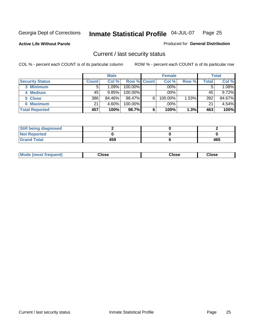**Active Life Without Parole** 

Produced for **General Distribution**

# Current / last security status

|                        |              | <b>Male</b> |                    |   | <b>Female</b> |       |              | <b>Total</b> |
|------------------------|--------------|-------------|--------------------|---|---------------|-------|--------------|--------------|
| <b>Security Status</b> | <b>Count</b> | Col %       | <b>Row % Count</b> |   | Col %         | Row % | <b>Total</b> | Col %        |
| 3 Minimum              |              | 1.09%       | $100.00\%$         |   | .00%          |       |              | 1.08%        |
| 4 Medium               | 45           | 9.85%       | $100.00\%$         |   | $.00\%$       |       | 45           | 9.72%        |
| 5 Close                | 386          | 84.46%      | 98.47%             | 6 | 100.00%       | 1.53% | 392          | 84.67%       |
| 6 Maximum              | 21           | 4.60%       | 100.00%            |   | .00%          |       | 21           | 4.54%        |
| <b>Total Reported</b>  | 457          | 100%        | 98.7%              | 6 | 100%          | 1.3%  | 463          | 100%         |

| <b>Still being diagnosed</b> |     |     |
|------------------------------|-----|-----|
| <b>Not Reported</b>          |     |     |
| <b>Grand Total</b>           | 459 | 465 |

| Mode (most frequent)<br>lose<br>ાose<br>;lose<br>.<br>- - - - |  |
|---------------------------------------------------------------|--|
|---------------------------------------------------------------|--|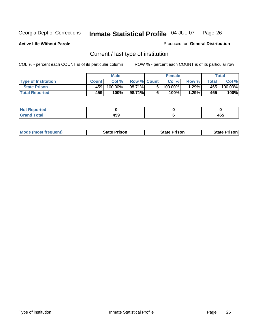**Active Life Without Parole** 

Produced for **General Distribution**

# Current / last type of institution

|                            |              | <b>Male</b> |                    |    | <b>Female</b> |            |              | Total   |
|----------------------------|--------------|-------------|--------------------|----|---------------|------------|--------------|---------|
| <b>Type of Institution</b> | <b>Count</b> | Col%        | <b>Row % Count</b> |    | Col %         | Row %I     | <b>Total</b> | Col %   |
| <b>State Prison</b>        | 4591         | 100.00%     | 98.71%             | 61 | $100.00\%$    | $1.29\%$ i | 465          | 100.00% |
| <b>Total Reported</b>      | 459          | 100%        | 98.71%             |    | 100%          | 1.29%      | 465          | 100%    |

| Reported<br> |                      |     |
|--------------|----------------------|-----|
| <b>ota</b>   | , , ,<br>TV.<br>$ -$ | 465 |

|  | <b>Mode (most frequent)</b> | State Prison | <b>State Prison</b> | <b>State Prison</b> |
|--|-----------------------------|--------------|---------------------|---------------------|
|--|-----------------------------|--------------|---------------------|---------------------|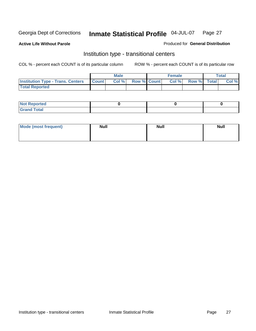**Active Life Without Parole** 

Produced for **General Distribution**

# Institution type - transitional centers

|                                          |              | <b>Male</b> |                    | <b>Female</b> |             | Total |
|------------------------------------------|--------------|-------------|--------------------|---------------|-------------|-------|
| <b>Institution Type - Trans. Centers</b> | <b>Count</b> | Col %       | <b>Row % Count</b> | Col %         | Row % Total | Col % |
| <b>Total Reported</b>                    |              |             |                    |               |             |       |

| <b>Not Reported</b>             |  |  |
|---------------------------------|--|--|
| Cotal<br>Cror<br>. <del>.</del> |  |  |

| Mode (most frequent) | <b>Null</b> | <b>Null</b> | <b>Null</b> |
|----------------------|-------------|-------------|-------------|
|                      |             |             |             |
|                      |             |             |             |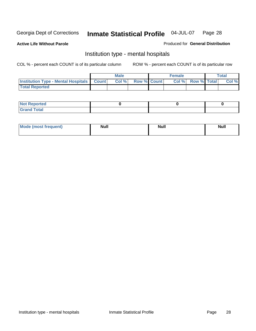**Active Life Without Parole** 

Produced for **General Distribution**

# Institution type - mental hospitals

|                                                  | <b>Male</b> |                    | <b>Female</b> |                   | <b>Total</b> |
|--------------------------------------------------|-------------|--------------------|---------------|-------------------|--------------|
| <b>Institution Type - Mental Hospitals Count</b> | Col %       | <b>Row % Count</b> |               | Col % Row % Total | Col %        |
| <b>Total Reported</b>                            |             |                    |               |                   |              |

| <b>Not Reported</b> |  |  |
|---------------------|--|--|
| <b>Fotal</b><br>Cro |  |  |

| Mode (most frequent) | <b>Null</b> | <b>Null</b> | <b>Null</b> |
|----------------------|-------------|-------------|-------------|
|                      |             |             |             |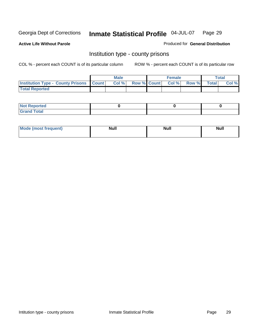**Active Life Without Parole** 

Produced for **General Distribution**

# Institution type - county prisons

|                                                    | <b>Male</b> |  | <b>Female</b>            |             | Total |
|----------------------------------------------------|-------------|--|--------------------------|-------------|-------|
| <b>Institution Type - County Prisons   Count  </b> | Col%        |  | <b>Row % Count Col %</b> | Row % Total | Col % |
| <b>Total Reported</b>                              |             |  |                          |             |       |

| <b>Not</b><br><b>Reported</b> |  |  |
|-------------------------------|--|--|
| <b>Grand Total</b>            |  |  |

| <b>Mo</b><br>frequent) | NI. . II<br>1u 11 | <b>Moll</b> | <b>Null</b> |
|------------------------|-------------------|-------------|-------------|
|                        |                   |             |             |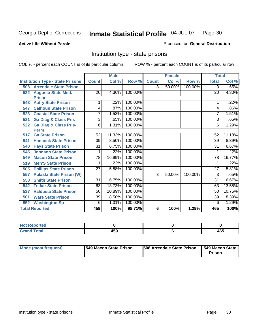**Active Life Without Parole** 

Produced for **General Distribution**

# Institution type - state prisons

|                                         |                 | <b>Male</b> |         |              | <b>Female</b> |         | <b>Total</b>    |        |
|-----------------------------------------|-----------------|-------------|---------|--------------|---------------|---------|-----------------|--------|
| <b>Institution Type - State Prisons</b> | <b>Count</b>    | Col %       | Row %   | <b>Count</b> | Col %         | Row %   | <b>Total</b>    | Col %  |
| <b>Arrendale State Prison</b><br>508    |                 |             |         | 3            | 50.00%        | 100.00% | 3               | .65%   |
| <b>Augusta State Med.</b><br>532        | 20              | 4.36%       | 100.00% |              |               |         | 20              | 4.30%  |
| <b>Prison</b>                           |                 |             |         |              |               |         |                 |        |
| <b>Autry State Prison</b><br>543        | 1               | .22%        | 100.00% |              |               |         |                 | .22%   |
| <b>Calhoun State Prison</b><br>547      | 4               | .87%        | 100.00% |              |               |         | 4               | .86%   |
| <b>Coastal State Prison</b><br>523      | 7               | 1.53%       | 100.00% |              |               |         | 7               | 1.51%  |
| <b>Ga Diag &amp; Class Pris</b><br>521  | 3               | .65%        | 100.00% |              |               |         | 3               | .65%   |
| <b>Ga Diag &amp; Class Pris-</b><br>522 | 6               | 1.31%       | 100.00% |              |               |         | 6               | 1.29%  |
| <b>Perm</b>                             |                 |             |         |              |               |         |                 |        |
| <b>Ga State Prison</b><br>517           | 52              | 11.33%      | 100.00% |              |               |         | 52              | 11.18% |
| <b>Hancock State Prison</b><br>541      | 39              | 8.50%       | 100.00% |              |               |         | 39              | 8.39%  |
| <b>Hays State Prison</b><br>540         | $\overline{31}$ | 6.75%       | 100.00% |              |               |         | 31              | 6.67%  |
| <b>Johnson State Prison</b><br>545      | 1               | .22%        | 100.00% |              |               |         |                 | .22%   |
| <b>Macon State Prison</b><br>549        | $\overline{78}$ | 16.99%      | 100.00% |              |               |         | $\overline{78}$ | 16.77% |
| <b>Men'S State Prison</b><br>519        |                 | .22%        | 100.00% |              |               |         |                 | .22%   |
| <b>Phillips State Prison</b><br>505     | 27              | 5.88%       | 100.00% |              |               |         | 27              | 5.81%  |
| <b>Pulaski State Prison (W)</b><br>557  |                 |             |         | 3            | 50.00%        | 100.00% | 3               | .65%   |
| <b>Smith State Prison</b><br>550        | $\overline{31}$ | 6.75%       | 100.00% |              |               |         | $\overline{31}$ | 6.67%  |
| <b>Telfair State Prison</b><br>542      | 63              | 13.73%      | 100.00% |              |               |         | 63              | 13.55% |
| <b>Valdosta State Prison</b><br>537     | 50              | 10.89%      | 100.00% |              |               |         | 50              | 10.75% |
| <b>Ware State Prison</b><br>501         | 39              | 8.50%       | 100.00% |              |               |         | 39              | 8.39%  |
| <b>Washington Sp</b><br>552             | 6               | 1.31%       | 100.00% |              |               |         | 6               | 1.29%  |
| <b>Total Reported</b>                   | 459             | 100%        | 98.71%  | 6            | 100%          | 1.29%   | 465             | 100%   |

| <b>ported</b><br>N<br>. |       |     |
|-------------------------|-------|-----|
| <b>Total</b>            | 1 E O | ACF |
| C <sub>ucu</sub>        | ᠇ᢦᢦ   | 40J |

| Mode (most frequent) | 1549 Macon State Prison | <b>508 Arrendale State Prison</b> | 549 Macon State  <br>Prison |
|----------------------|-------------------------|-----------------------------------|-----------------------------|
|----------------------|-------------------------|-----------------------------------|-----------------------------|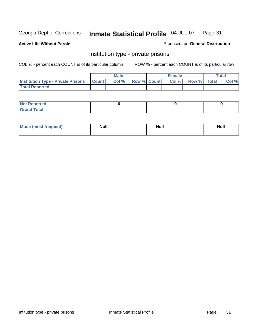**Active Life Without Parole** 

Produced for **General Distribution**

# Institution type - private prisons

|                                                     | <b>Male</b> |                    | <b>Female</b> |             | Total |
|-----------------------------------------------------|-------------|--------------------|---------------|-------------|-------|
| <b>Institution Type - Private Prisons   Count  </b> | Col %       | <b>Row % Count</b> | Col %         | Row % Total | Col % |
| <b>Total Reported</b>                               |             |                    |               |             |       |

| <b>Not Reported</b> |  |  |
|---------------------|--|--|
| <b>otal</b><br>r.   |  |  |

| Mode (most frequent) | <b>Null</b> | <b>Null</b> | <b>Null</b> |
|----------------------|-------------|-------------|-------------|
|                      |             |             |             |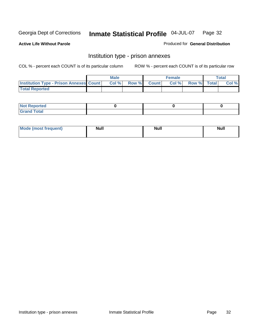**Active Life Without Parole** 

Produced for **General Distribution**

# Institution type - prison annexes

|                                                | <b>Male</b> |              |                | <b>Female</b> |             | <b>Total</b> |
|------------------------------------------------|-------------|--------------|----------------|---------------|-------------|--------------|
| <b>Institution Type - Prison Annexes Count</b> | Col %       | <b>Row %</b> | <b>Count</b> Ⅰ | Col%          | Row % Total | Col %        |
| <b>Total Reported</b>                          |             |              |                |               |             |              |

| <b>Not</b><br><b>Reported</b>    |  |  |
|----------------------------------|--|--|
| <b>Total</b><br>Gran<br>$\sim$ . |  |  |

| Mode (most frequent) | <b>Null</b> | <b>Null</b> | <b>Null</b> |
|----------------------|-------------|-------------|-------------|
|                      |             |             |             |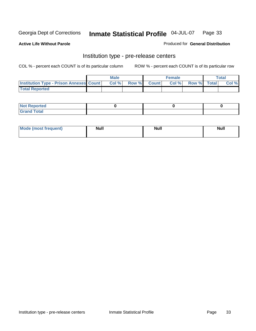**Active Life Without Parole** 

Produced for **General Distribution**

## Institution type - pre-release centers

|                                                | <b>Male</b> |              |                | <b>Female</b> |             | <b>Total</b> |
|------------------------------------------------|-------------|--------------|----------------|---------------|-------------|--------------|
| <b>Institution Type - Prison Annexes Count</b> | Col %       | <b>Row %</b> | <b>Count</b> Ⅰ | Col%          | Row % Total | Col %        |
| <b>Total Reported</b>                          |             |              |                |               |             |              |

| <b>Not</b><br><b>Reported</b>    |  |  |
|----------------------------------|--|--|
| <b>Total</b><br>Gran<br>$\sim$ . |  |  |

| Mode (most frequent) | <b>Null</b> | <b>Null</b><br>_____ | <b>Null</b> |
|----------------------|-------------|----------------------|-------------|
|                      |             |                      |             |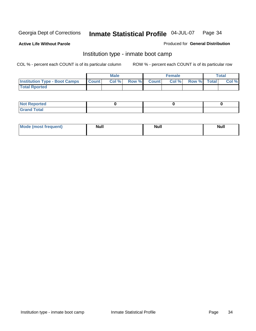**Active Life Without Parole** 

Produced for **General Distribution**

# Institution type - inmate boot camp

|                                      |              | Male  |             | <b>Female</b> |             | <b>Total</b> |
|--------------------------------------|--------------|-------|-------------|---------------|-------------|--------------|
| <b>Institution Type - Boot Camps</b> | <b>Count</b> | Col % | Row % Count | Col%          | Row % Total | Col %        |
| <b>Total Rported</b>                 |              |       |             |               |             |              |

| <b>Not Reported</b>  |  |  |
|----------------------|--|--|
| <b>Total</b><br>Croy |  |  |

| Mode (most frequent) | <b>Null</b> | <b>Null</b> | <b>Null</b> |
|----------------------|-------------|-------------|-------------|
|                      |             |             |             |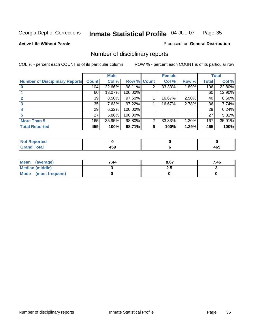**Active Life Without Parole** 

Produced for **General Distribution**

# Number of disciplinary reports

|                                       |              | <b>Male</b> |             |   | <b>Female</b> |       |              | <b>Total</b> |
|---------------------------------------|--------------|-------------|-------------|---|---------------|-------|--------------|--------------|
| <b>Number of Disciplinary Reports</b> | <b>Count</b> | Col %       | Row % Count |   | Col %         | Row % | <b>Total</b> | Col %        |
|                                       | 104          | 22.66%      | 98.11%      | 2 | 33.33%        | 1.89% | 106          | 22.80%       |
|                                       | 60           | 13.07%      | 100.00%     |   |               |       | 60           | 12.90%       |
|                                       | 39           | $8.50\%$    | 97.50%      |   | 16.67%        | 2.50% | 40           | 8.60%        |
| 3                                     | 35           | 7.63%       | 97.22%      |   | 16.67%        | 2.78% | 36           | 7.74%        |
|                                       | 29           | 6.32%       | 100.00%     |   |               |       | 29           | 6.24%        |
|                                       | 27           | 5.88%       | 100.00%     |   |               |       | 27           | 5.81%        |
| <b>More Than 5</b>                    | 165          | 35.95%      | 98.80%      | 2 | 33.33%        | 1.20% | 167          | 35.91%       |
| <b>Total Reported</b>                 | 459          | 100%        | 98.71%      | 6 | 100%          | 1.29% | 465          | 100%         |

| <b><i><u>A</u></i></b> <i>a a</i><br>N<br>тео |              |                    |
|-----------------------------------------------|--------------|--------------------|
| $\sim$                                        | .<br>.<br>__ | - - -<br>יטי<br>__ |

| Mean (average)       | 7.44 | 8.67 | 7.46 |
|----------------------|------|------|------|
| Median (middle)      |      | 2.J  |      |
| Mode (most frequent) |      |      |      |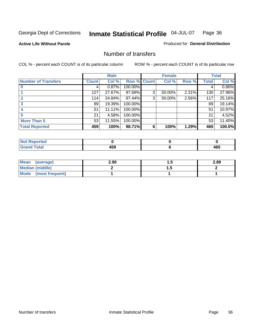Produced for **General Distribution**

#### **Active Life Without Parole**

## Number of transfers

|                            |              | <b>Male</b> |         |                | <b>Female</b> |       |              | <b>Total</b> |
|----------------------------|--------------|-------------|---------|----------------|---------------|-------|--------------|--------------|
| <b>Number of Transfers</b> | <b>Count</b> | Col %       |         | Row % Count    | Col %         | Row % | <b>Total</b> | Col %        |
|                            | 4            | 0.87%       | 100.00% |                |               |       | 4            | $0.86\%$     |
|                            | 127          | 27.67%      | 97.69%  | 3              | 50.00%        | 2.31% | 130          | 27.96%       |
|                            | 114          | 24.84%      | 97.44%  | 3 <sub>l</sub> | 50.00%        | 2.56% | 117          | 25.16%       |
| 3                          | 89           | 19.39%      | 100.00% |                |               |       | 89           | 19.14%       |
|                            | 51           | 11.11%      | 100.00% |                |               |       | 51           | 10.97%       |
|                            | 21           | 4.58%       | 100.00% |                |               |       | 21           | 4.52%        |
| <b>More Than 5</b>         | 53           | 11.55%      | 100.00% |                |               |       | 53           | 11.40%       |
| <b>Total Reported</b>      | 459          | 100%        | 98.71%  | 6              | 100%          | 1.29% | 465          | 100.0%       |

| <b><i><u>A</u></i></b> <i>a a</i><br>N<br>тео |              |                    |
|-----------------------------------------------|--------------|--------------------|
| $\sim$                                        | .<br>.<br>__ | - - -<br>יטי<br>__ |

| Mean (average)       | 2.90 |          | 2.89 |
|----------------------|------|----------|------|
| Median (middle)      |      | $\cdots$ |      |
| Mode (most frequent) |      |          |      |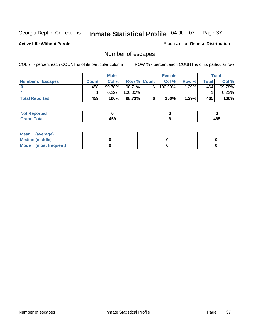**Active Life Without Parole** 

Produced for **General Distribution**

# Number of escapes

|                          |              | <b>Male</b> |                    |   | <b>Female</b> |         |       | <b>Total</b> |
|--------------------------|--------------|-------------|--------------------|---|---------------|---------|-------|--------------|
| <b>Number of Escapes</b> | <b>Count</b> | Col %       | <b>Row % Count</b> |   | Col %         | Row %   | Total | Col %        |
|                          | 458          | 99.78%      | $98.71\%$          | 6 | 100.00%       | $.29\%$ | 464   | 99.78%       |
|                          |              | 0.22%       | 100.00%            |   |               |         |       | $0.22\%$     |
| <b>Total Reported</b>    | 459          | 100%        | 98.71%             |   | 100%          | 1.29%   | 465   | 100%         |

| n eo                            |              |     |
|---------------------------------|--------------|-----|
| <b>otal</b><br>$\mathbf{v}$ and | 1 E C<br>10a | 465 |

| Mean (average)       |  |  |
|----------------------|--|--|
| Median (middle)      |  |  |
| Mode (most frequent) |  |  |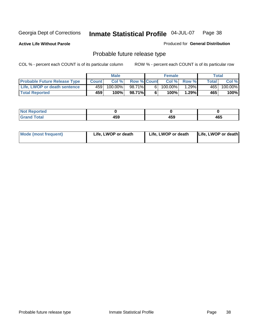**Active Life Without Parole** 

Produced for **General Distribution**

# Probable future release type

|                                     |              | <b>Male</b> |                    |   | <b>Female</b> |              |        | Total   |
|-------------------------------------|--------------|-------------|--------------------|---|---------------|--------------|--------|---------|
| <b>Probable Future Release Type</b> | <b>Count</b> | Col%        | <b>Row % Count</b> |   | Col%          | <b>Row %</b> | Totall | Col %   |
| Life, LWOP or death sentence        | 459          | 100.00%     | 98.71%             | 6 | 100.00%       | $.29\%$      | 465    | 100.00% |
| <b>Total Reported</b>               | 459          | 100%        | 98.71%             | 6 | 100%          | 1.29%        | 465    | 100%    |

| <b>Reported</b> |              |     |     |
|-----------------|--------------|-----|-----|
| Гоtal<br>------ | 1 E O<br>439 | 459 | 465 |

| <b>Mode (most frequent)</b> | Life, LWOP or death | Life, LWOP or death | Life, LWOP or death |
|-----------------------------|---------------------|---------------------|---------------------|
|-----------------------------|---------------------|---------------------|---------------------|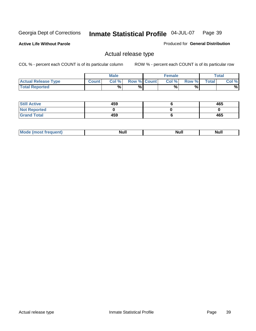**Active Life Without Parole** 

Produced for **General Distribution**

## Actual release type

|                            |              | <b>Male</b> |                    | <b>Female</b> |        |       | $\tau$ otal |
|----------------------------|--------------|-------------|--------------------|---------------|--------|-------|-------------|
| <b>Actual Release Type</b> | <b>Count</b> | Col %       | <b>Row % Count</b> | Col %         | Row %I | Total | Col %       |
| <b>Total Reported</b>      |              | %           | %                  | %             | %      |       | %           |

| <b>Still Active</b> | 459 | 465 |
|---------------------|-----|-----|
| <b>Not Reported</b> |     |     |
| <b>Grand Total</b>  | 459 | 465 |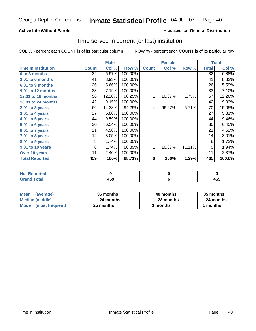## **Active Life Without Parole**

## Produced for **General Distribution**

## Time served in current (or last) institution

|                            |              | <b>Male</b> |         |              | <b>Female</b> |        |              | <b>Total</b> |
|----------------------------|--------------|-------------|---------|--------------|---------------|--------|--------------|--------------|
| <b>Time In Institution</b> | <b>Count</b> | Col %       | Row %   | <b>Count</b> | Col %         | Row %  | <b>Total</b> | Col %        |
| 0 to 3 months              | 32           | 6.97%       | 100.00% |              |               |        | 32           | 6.88%        |
| 3.01 to 6 months           | 41           | 8.93%       | 100.00% |              |               |        | 41           | 8.82%        |
| 6.01 to 9 months           | 26           | 5.66%       | 100.00% |              |               |        | 26           | 5.59%        |
| 9.01 to 12 months          | 33           | 7.19%       | 100.00% |              |               |        | 33           | 7.10%        |
| 12.01 to 18 months         | 56           | 12.20%      | 98.25%  | 1            | 16.67%        | 1.75%  | 57           | 12.26%       |
| 18.01 to 24 months         | 42           | 9.15%       | 100.00% |              |               |        | 42           | 9.03%        |
| $2.01$ to 3 years          | 66           | 14.38%      | 94.29%  | 4            | 66.67%        | 5.71%  | 70           | 15.05%       |
| 3.01 to 4 years            | 27           | 5.88%       | 100.00% |              |               |        | 27           | 5.81%        |
| 4.01 to 5 years            | 44           | 9.59%       | 100.00% |              |               |        | 44           | 9.46%        |
| 5.01 to 6 years            | 30           | 6.54%       | 100.00% |              |               |        | 30           | 6.45%        |
| 6.01 to 7 years            | 21           | 4.58%       | 100.00% |              |               |        | 21           | 4.52%        |
| $7.01$ to 8 years          | 14           | 3.05%       | 100.00% |              |               |        | 14           | 3.01%        |
| 8.01 to 9 years            | 8            | 1.74%       | 100.00% |              |               |        | 8            | 1.72%        |
| 9.01 to 10 years           | 8            | 1.74%       | 88.89%  | 1            | 16.67%        | 11.11% | 9            | 1.94%        |
| Over 10 years              | 11           | 2.40%       | 100.00% |              |               |        | 11           | 2.37%        |
| <b>Total Reported</b>      | 459          | 100%        | 98.71%  | 6            | 100%          | 1.29%  | 465          | 100.0%       |

| <b>Reported</b><br><b>NOT</b> |            |     |
|-------------------------------|------------|-----|
| <b>Total</b>                  | 150<br>433 | 465 |

| <b>Mean</b><br>(average) | 35 months | 40 months | 35 months |  |
|--------------------------|-----------|-----------|-----------|--|
| Median (middle)          | 24 months | 28 months | 24 months |  |
| Mode (most frequent)     | 25 months | ∣ months  | months    |  |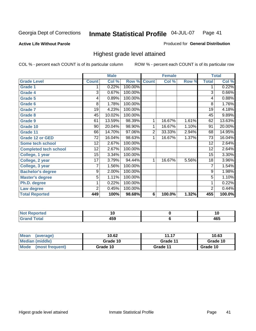**Active Life Without Parole** 

Produced for **General Distribution**

## Highest grade level attained

|                              |                 | <b>Male</b> |         |                | <b>Female</b> |       |                 | <b>Total</b> |
|------------------------------|-----------------|-------------|---------|----------------|---------------|-------|-----------------|--------------|
| <b>Grade Level</b>           | <b>Count</b>    | Col %       | Row %   | <b>Count</b>   | Col %         | Row % | <b>Total</b>    | Col %        |
| <b>Grade 1</b>               | 1               | 0.22%       | 100.00% |                |               |       | 1               | 0.22%        |
| <b>Grade 4</b>               | 3               | 0.67%       | 100.00% |                |               |       | $\overline{3}$  | 0.66%        |
| Grade 5                      | 4               | 0.89%       | 100.00% |                |               |       | 4               | 0.88%        |
| Grade 6                      | 8               | 1.78%       | 100.00% |                |               |       | 8               | 1.76%        |
| <b>Grade 7</b>               | 19              | 4.23%       | 100.00% |                |               |       | $\overline{19}$ | 4.18%        |
| Grade 8                      | 45              | 10.02%      | 100.00% |                |               |       | 45              | 9.89%        |
| <b>Grade 9</b>               | 61              | 13.59%      | 98.39%  | 1              | 16.67%        | 1.61% | 62              | 13.63%       |
| Grade 10                     | $\overline{90}$ | 20.04%      | 98.90%  | 1              | 16.67%        | 1.10% | $\overline{91}$ | 20.00%       |
| Grade 11                     | 66              | 14.70%      | 97.06%  | $\overline{2}$ | 33.33%        | 2.94% | 68              | 14.95%       |
| <b>Grade 12 or GED</b>       | 72              | 16.04%      | 98.63%  | 1              | 16.67%        | 1.37% | 73              | 16.04%       |
| <b>Some tech school</b>      | 12              | 2.67%       | 100.00% |                |               |       | 12              | 2.64%        |
| <b>Completed tech school</b> | 12              | 2.67%       | 100.00% |                |               |       | 12              | 2.64%        |
| College, 1 year              | 15              | 3.34%       | 100.00% |                |               |       | 15              | 3.30%        |
| College, 2 year              | 17              | 3.79%       | 94.44%  | 1              | 16.67%        | 5.56% | 18              | 3.96%        |
| College, 3 year              | 7               | 1.56%       | 100.00% |                |               |       | 7               | 1.54%        |
| <b>Bachelor's degree</b>     | 9               | 2.00%       | 100.00% |                |               |       | 9               | 1.98%        |
| <b>Master's degree</b>       | 5               | 1.11%       | 100.00% |                |               |       | $\overline{5}$  | 1.10%        |
| Ph.D. degree                 | 1               | 0.22%       | 100.00% |                |               |       | 1               | 0.22%        |
| Law degree                   | $\overline{2}$  | 0.45%       | 100.00% |                |               |       | $\overline{2}$  | 0.44%        |
| <b>Total Reported</b>        | 449             | 100%        | 98.68%  | 6              | 100.0%        | 1.32% | 455             | 100.0%       |

| المناسب<br>rtea<br>N0<br>. | . w         | יי  |
|----------------------------|-------------|-----|
| $T = 4 - T$                | . רמ<br>᠇ᢦᢦ | 465 |

| <b>Mean</b><br>(average)       | 10.62    | 11.17    | 10.63    |
|--------------------------------|----------|----------|----------|
| Median (middle)                | Grade 10 | Grade 11 | Grade 10 |
| <b>Mode</b><br>(most frequent) | Grade 10 | Grade 11 | Grade 10 |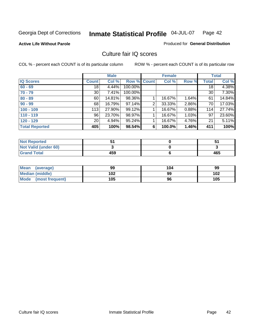## **Active Life Without Parole**

#### Produced for **General Distribution**

## Culture fair IQ scores

|                       |                 | <b>Male</b> |             |   | <b>Female</b> |          |                 | <b>Total</b>        |
|-----------------------|-----------------|-------------|-------------|---|---------------|----------|-----------------|---------------------|
| <b>IQ Scores</b>      | <b>Count</b>    | Col %       | Row % Count |   | Col %         | Row %    | <b>Total</b>    | Col %               |
| $60 - 69$             | $\overline{18}$ | 4.44%       | 100.00%     |   |               |          | $\overline{18}$ | 4.38%               |
| $70 - 79$             | 30 <sup>1</sup> | 7.41%       | 100.00%     |   |               |          | 30              | 7.30%               |
| $80 - 89$             | 60              | 14.81%      | 98.36%      |   | 16.67%        | $1.64\%$ | 61              | 14.84%              |
| $90 - 99$             | 68              | 16.79%      | 97.14%      | 2 | 33.33%        | 2.86%    | 70              | 17.03%              |
| $100 - 109$           | 113             | 27.90%      | 99.12%      |   | 16.67%        | 0.88%    | 114             | 27.74%              |
| $110 - 119$           | 96              | 23.70%      | 98.97%      |   | 16.67%        | 1.03%    | 97              | 23.60%              |
| $120 - 129$           | 20 <sup>1</sup> | 4.94%       | 95.24%      |   | 16.67%        | 4.76%    | 21              | $\overline{5.11\%}$ |
| <b>Total Reported</b> | 405             | 100%        | 98.54%      | 6 | 100.0%        | 1.46%    | 411             | 100%                |

| <b>Not Reported</b>         |     |     |
|-----------------------------|-----|-----|
| <b>Not Valid (under 60)</b> |     |     |
| <b>Grand Total</b>          | 459 | 465 |

| <b>Mean</b><br>(average) | 99  | 104 | 99  |
|--------------------------|-----|-----|-----|
| Median (middle)          | 102 | 99  | 102 |
| Mode (most frequent)     | 105 | 96  | 105 |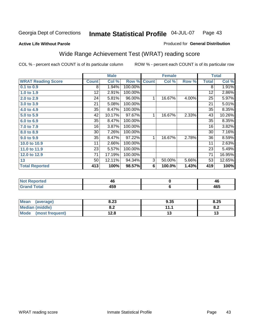### **Active Life Without Parole**

#### Produced for **General Distribution**

# Wide Range Achievement Test (WRAT) reading score

COL % - percent each COUNT is of its particular column ROW % - percent each COUNT is of its particular row

|                           | <b>Male</b>  |        | <b>Female</b> |              |           | <b>Total</b> |                 |        |
|---------------------------|--------------|--------|---------------|--------------|-----------|--------------|-----------------|--------|
| <b>WRAT Reading Score</b> | <b>Count</b> | Col %  | Row %         | <b>Count</b> | Col %     | Row %        | <b>Total</b>    | Col %  |
| 0.1 to 0.9                | 8            | 1.94%  | 100.00%       |              |           |              | 8               | 1.91%  |
| 1.0 to 1.9                | 12           | 2.91%  | 100.00%       |              |           |              | 12              | 2.86%  |
| 2.0 to 2.9                | 24           | 5.81%  | $96.00\%$     | 1            | 16.67%    | 4.00%        | 25              | 5.97%  |
| 3.0 to 3.9                | 21           | 5.08%  | 100.00%       |              |           |              | 21              | 5.01%  |
| 4.0 to 4.9                | 35           | 8.47%  | 100.00%       |              |           |              | 35              | 8.35%  |
| 5.0 to 5.9                | 42           | 10.17% | 97.67%        | 1            | 16.67%    | 2.33%        | 43              | 10.26% |
| 6.0 to 6.9                | 35           | 8.47%  | 100.00%       |              |           |              | 35              | 8.35%  |
| 7.0 to 7.9                | 16           | 3.87%  | 100.00%       |              |           |              | 16              | 3.82%  |
| 8.0 to 8.9                | 30           | 7.26%  | 100.00%       |              |           |              | 30              | 7.16%  |
| 9.0 to 9.9                | 35           | 8.47%  | 97.22%        | 1            | 16.67%    | 2.78%        | 36              | 8.59%  |
| 10.0 to 10.9              | 11           | 2.66%  | 100.00%       |              |           |              | 11              | 2.63%  |
| 11.0 to 11.9              | 23           | 5.57%  | 100.00%       |              |           |              | 23              | 5.49%  |
| 12.0 to 12.9              | 71           | 17.19% | 100.00%       |              |           |              | $\overline{71}$ | 16.95% |
| 13                        | 50           | 12.11% | 94.34%        | 3            | 50.00%    | 5.66%        | 53              | 12.65% |
| <b>Total Reported</b>     | 413          | 100%   | 98.57%        | 6            | 100.0%    | 1.43%        | 419             | 100%   |
|                           |              |        |               |              |           |              |                 |        |
| <b>Not Reported</b>       |              | 46     |               |              | $\pmb{0}$ |              |                 | 46     |
| <b>Grand Total</b>        |              | 459    |               |              | $\bf 6$   |              |                 | 465    |

| <b>Mean</b><br>(average)       | 8.23       | 9.35      | 8.25       |
|--------------------------------|------------|-----------|------------|
| Median (middle)                | י ה<br>o.z | 11.1<br>. | о о<br>o.z |
| <b>Mode</b><br>(most frequent) | 12.8       | IJ        | ט ו        |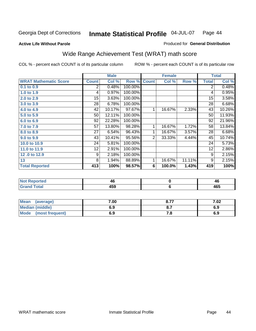#### **Active Life Without Parole**

#### Produced for **General Distribution**

# Wide Range Achievement Test (WRAT) math score

|                              |                  | <b>Male</b> |         |              | <b>Female</b> |        |              | <b>Total</b> |
|------------------------------|------------------|-------------|---------|--------------|---------------|--------|--------------|--------------|
| <b>WRAT Mathematic Score</b> | <b>Count</b>     | Col %       | Row %   | <b>Count</b> | Col %         | Row %  | <b>Total</b> | Col %        |
| 0.1 to 0.9                   | 2                | 0.48%       | 100.00% |              |               |        | 2            | 0.48%        |
| 1.0 to 1.9                   | 4                | 0.97%       | 100.00% |              |               |        | 4            | 0.95%        |
| 2.0 to 2.9                   | 15 <sub>15</sub> | 3.63%       | 100.00% |              |               |        | 15           | 3.58%        |
| 3.0 to 3.9                   | 28               | 6.78%       | 100.00% |              |               |        | 28           | 6.68%        |
| 4.0 to 4.9                   | 42               | 10.17%      | 97.67%  | 1            | 16.67%        | 2.33%  | 43           | 10.26%       |
| 5.0 to 5.9                   | 50               | 12.11%      | 100.00% |              |               |        | 50           | 11.93%       |
| 6.0 to 6.9                   | 92               | 22.28%      | 100.00% |              |               |        | 92           | 21.96%       |
| 7.0 to 7.9                   | 57               | 13.80%      | 98.28%  | 1            | 16.67%        | 1.72%  | 58           | 13.84%       |
| 8.0 to 8.9                   | 27               | 6.54%       | 96.43%  | 1            | 16.67%        | 3.57%  | 28           | 6.68%        |
| 9.0 to 9.9                   | 43               | 10.41%      | 95.56%  | 2            | 33.33%        | 4.44%  | 45           | 10.74%       |
| 10.0 to 10.9                 | 24               | 5.81%       | 100.00% |              |               |        | 24           | 5.73%        |
| 11.0 to 11.9                 | 12               | 2.91%       | 100.00% |              |               |        | 12           | 2.86%        |
| 12.0 to 12.9                 | 9                | 2.18%       | 100.00% |              |               |        | 9            | 2.15%        |
| 13                           | 8                | 1.94%       | 88.89%  | 1            | 16.67%        | 11.11% | 9            | 2.15%        |
| <b>Total Reported</b>        | 413              | 100%        | 98.57%  | 6            | 100.0%        | 1.43%  | 419          | 100%         |
|                              |                  |             |         |              |               |        |              |              |

| <b>Not Reported</b> | 40  | 4Ł  |
|---------------------|-----|-----|
| <b>Grand Total</b>  | 459 | 465 |

| Mean (average)         | 7.00 | 8.77 | 7.02 |
|------------------------|------|------|------|
| <b>Median (middle)</b> | 6.9  |      | 6.9  |
| Mode (most frequent)   | 6.9  | 7.a  | 6.9  |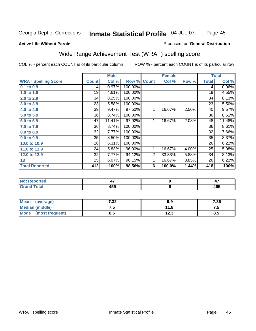## **Active Life Without Parole**

#### Produced for **General Distribution**

# Wide Range Achievement Test (WRAT) spelling score

|                            |              | <b>Male</b> |                      |                | <b>Female</b>  |       |              | <b>Total</b> |
|----------------------------|--------------|-------------|----------------------|----------------|----------------|-------|--------------|--------------|
| <b>WRAT Spelling Score</b> | <b>Count</b> | Col %       | Row %                | <b>Count</b>   | Col %          | Row % | <b>Total</b> | Col %        |
| $0.1$ to $0.9$             | 4            | 0.97%       | 100.00%              |                |                |       | 4            | 0.96%        |
| 1.0 to 1.9                 | 19           | 4.61%       | 100.00%              |                |                |       | 19           | 4.55%        |
| 2.0 to 2.9                 | 34           | 8.25%       | 100.00%              |                |                |       | 34           | 8.13%        |
| 3.0 to 3.9                 | 23           | 5.58%       | 100.00%              |                |                |       | 23           | 5.50%        |
| 4.0 to 4.9                 | 39           | 9.47%       | 97.50%               | 1              | 16.67%         | 2.50% | 40           | 9.57%        |
| 5.0 to 5.9                 | 36           | 8.74%       | 100.00%              |                |                |       | 36           | 8.61%        |
| 6.0 to 6.9                 | 47           | 11.41%      | 97.92%               | 1              | 16.67%         | 2.08% | 48           | 11.48%       |
| 7.0 to 7.9                 | 36           | 8.74%       | 100.00%              |                |                |       | 36           | 8.61%        |
| 8.0 to 8.9                 | 32           | 7.77%       | 100.00%              |                |                |       | 32           | 7.66%        |
| 9.0 to 9.9                 | 35           | 8.50%       | 100.00%              |                |                |       | 35           | 8.37%        |
| 10.0 to 10.9               | 26           | 6.31%       | 100.00%              |                |                |       | 26           | 6.22%        |
| 11.0 to 11.9               | 24           | 5.83%       | 96.00%               | 1              | 16.67%         | 4.00% | 25           | 5.98%        |
| 12.0 to 12.9               | 32           | 7.77%       | 94.12%               | $\overline{2}$ | 33.33%         | 5.88% | 34           | 8.13%        |
| 13                         | 25           | 6.07%       | $\overline{96.15\%}$ | 1              | 16.67%         | 3.85% | 26           | 6.22%        |
| <b>Total Reported</b>      | 412          | 100%        | 98.56%               | 6              | 100.0%         | 1.44% | 418          | 100%         |
|                            |              |             |                      |                |                |       |              |              |
| <b>Not Reported</b>        |              | 47          |                      |                | $\pmb{0}$      |       |              | 47           |
| <b>Grand Total</b>         |              | 459         |                      |                | $6\phantom{1}$ |       |              | 465          |

| <b>Mean</b><br>(average) | 7.32 | 9.9  | 7.36 |
|--------------------------|------|------|------|
| <b>Median (middle)</b>   | ں ،  | 11.8 | ن. ا |
| Mode (most frequent)     | ช.ว  | 12.3 | 8.5  |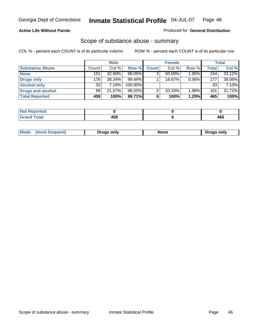## **Active Life Without Parole**

### Produced for **General Distribution**

## Scope of substance abuse - summary

|                        |       | <b>Male</b> |           |              | <b>Female</b> |       |              | Total     |
|------------------------|-------|-------------|-----------|--------------|---------------|-------|--------------|-----------|
| <b>Substance Abuse</b> | Count | Col %       | Row %     | <b>Count</b> | Col %         | Row % | <b>Total</b> | Col %     |
| <b>None</b>            | 151   | 32.90%      | 98.05%    | ◠            | $50.00\%$     | 1.95% | 154          | $33.12\%$ |
| Drugs only             | 176   | 38.34%      | $99.44\%$ |              | 16.67%        | 0.56% | 177          | 38.06%    |
| <b>Alcohol only</b>    | 33    | 7.19%       | 100.00%   |              |               |       | 33           | 7.10%     |
| Drugs and alcohol      | 99    | 21.57%      | 98.02%    | ົ            | 33.33%        | 1.98% | 101          | 21.72%    |
| <b>Total Reported</b>  | 459   | 100%        | 98.71%    | 6            | 100%          | 1.29% | 465          | 100%      |

| <b>Not</b><br><b>Reported</b> |  |     |
|-------------------------------|--|-----|
| <b>Total</b><br><b>Grand</b>  |  | 465 |

|  | Mode | Druas onlv | None | only<br><u>Iruc</u> |
|--|------|------------|------|---------------------|
|--|------|------------|------|---------------------|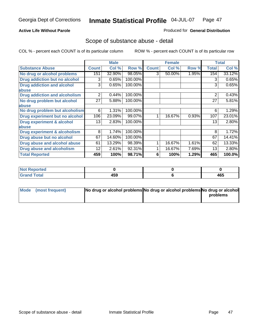## **Active Life Without Parole**

## Produced for **General Distribution**

## Scope of substance abuse - detail

|                                         |              | <b>Male</b> |         |              | <b>Female</b> |       |              | <b>Total</b> |
|-----------------------------------------|--------------|-------------|---------|--------------|---------------|-------|--------------|--------------|
| <b>Substance Abuse</b>                  | <b>Count</b> | Col %       | Row %   | <b>Count</b> | Col %         | Row % | <b>Total</b> | Col %        |
| No drug or alcohol problems             | 151          | 32.90%      | 98.05%  | 3            | 50.00%        | 1.95% | 154          | 33.12%       |
| Drug addiction but no alcohol           | 3            | 0.65%       | 100.00% |              |               |       | 3            | 0.65%        |
| <b>Drug addiction and alcohol</b>       | 3            | 0.65%       | 100.00% |              |               |       | 3            | 0.65%        |
| abuse                                   |              |             |         |              |               |       |              |              |
| <b>Drug addiction and alcoholism</b>    | 2            | 0.44%       | 100.00% |              |               |       | 2            | 0.43%        |
| No drug problem but alcohol             | 27           | 5.88%       | 100.00% |              |               |       | 27           | 5.81%        |
| abuse                                   |              |             |         |              |               |       |              |              |
| No drug problem but alcoholism          | 6            | 1.31%       | 100.00% |              |               |       | 6            | 1.29%        |
| Drug experiment but no alcohol          | 106          | 23.09%      | 99.07%  |              | 16.67%        | 0.93% | 107          | 23.01%       |
| <b>Drug experiment &amp; alcohol</b>    | 13           | 2.83%       | 100.00% |              |               |       | 13           | 2.80%        |
| abuse                                   |              |             |         |              |               |       |              |              |
| <b>Drug experiment &amp; alcoholism</b> | 8            | 1.74%       | 100.00% |              |               |       | 8            | 1.72%        |
| Drug abuse but no alcohol               | 67           | 14.60%      | 100.00% |              |               |       | 67           | 14.41%       |
| Drug abuse and alcohol abuse            | 61           | 13.29%      | 98.39%  |              | 16.67%        | 1.61% | 62           | 13.33%       |
| <b>Drug abuse and alcoholism</b>        | 12           | 2.61%       | 92.31%  |              | 16.67%        | 7.69% | 13           | 2.80%        |
| <b>Total Reported</b>                   | 459          | 100%        | 98.71%  | 6            | 100%          | 1.29% | 465          | 100.0%       |

| <b>Not Reported</b> |     |     |
|---------------------|-----|-----|
| <b>Total</b>        | 459 | 465 |

| Mode (most frequent) | No drug or alcohol problems No drug or alcohol problems No drug or alcohol |          |
|----------------------|----------------------------------------------------------------------------|----------|
|                      |                                                                            | problems |
|                      |                                                                            |          |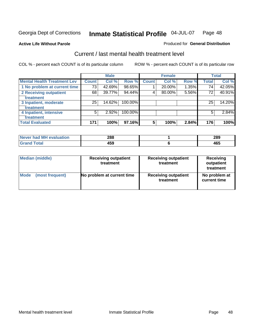#### **Active Life Without Parole**

#### Produced for **General Distribution**

## Current / last mental health treatment level

|                                    |              | <b>Male</b> |         |              | <b>Female</b> |       |              | <b>Total</b> |
|------------------------------------|--------------|-------------|---------|--------------|---------------|-------|--------------|--------------|
| <b>Mental Health Treatment Lev</b> | <b>Count</b> | Col %       | Row %   | <b>Count</b> | Col %         | Row % | <b>Total</b> | Col %        |
| 1 No problem at current time       | 73           | 42.69%      | 98.65%  |              | 20.00%        | 1.35% | 74           | 42.05%       |
| 2 Receiving outpatient             | 68           | 39.77%      | 94.44%  | 4            | 80.00%        | 5.56% | 72           | 40.91%       |
| treatment                          |              |             |         |              |               |       |              |              |
| 3 Inpatient, moderate              | 25           | 14.62%      | 100.00% |              |               |       | 25           | 14.20%       |
| <b>Treatment</b>                   |              |             |         |              |               |       |              |              |
| 4 Inpatient, intensive             | 5            | 2.92%       | 100.00% |              |               |       | 5            | 2.84%        |
| treatment                          |              |             |         |              |               |       |              |              |
| <b>Total Evaluated</b>             | 171          | 100%        | 97.16%  | 5            | 100%          | 2.84% | 176          | 100%         |

| Never had MH evaluation | 288 | 289 |
|-------------------------|-----|-----|
| Total                   | 459 | 465 |

| <b>Median (middle)</b> | <b>Receiving outpatient</b><br>treatment | <b>Receiving outpatient</b><br>treatment | <b>Receiving</b><br>outpatient<br>treatment |  |  |
|------------------------|------------------------------------------|------------------------------------------|---------------------------------------------|--|--|
| <b>Mode</b>            | No problem at current time               | <b>Receiving outpatient</b>              | No problem at                               |  |  |
| (most frequent)        |                                          | treatment                                | current time                                |  |  |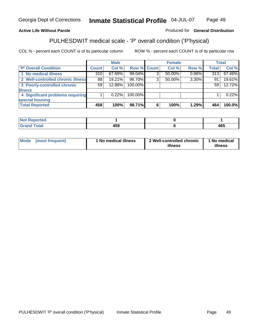## **Active Life Without Parole**

## Produced for **General Distribution**

# PULHESDWIT medical scale - 'P' overall condition ('P'hysical)

|                                   |         | <b>Male</b> |             |   | <b>Female</b> |          |              | <b>Total</b> |
|-----------------------------------|---------|-------------|-------------|---|---------------|----------|--------------|--------------|
| 'P' Overall Condition             | Count l | Col %       | Row % Count |   | Col %         | Row %    | <b>Total</b> | Col %        |
| 1 No medical illness              | 310     | $67.69\%$   | 99.04%      |   | 50.00%        | $0.96\%$ | 313          | 67.46%       |
| 2 Well-controlled chronic illness | 88      | 19.21%      | 96.70%      | ◠ | 50.00%        | 3.30%    | 91           | 19.61%       |
| 3 Poorly-controlled chronic       | 59      | 12.88%      | 100.00%     |   |               |          | 59           | 12.72%       |
| <b>illness</b>                    |         |             |             |   |               |          |              |              |
| 4 Significant problems requiring  |         | 0.22%       | 100.00%     |   |               |          |              | 0.22%        |
| special housing                   |         |             |             |   |               |          |              |              |
| <b>Total Reported</b>             | 458     | 100%        | 98.71%      |   | 100%          | 1.29%    | 464          | 100.0%       |

| <b>NOT Reported</b> |            |                       |
|---------------------|------------|-----------------------|
| $int^{\bullet}$     | - Ju<br>__ | $\overline{ }$<br>40J |

| <b>Mode</b> | (most frequent) | ' No medical illness | 2 Well-controlled chronic<br>illness | 1 No medical<br>illness |
|-------------|-----------------|----------------------|--------------------------------------|-------------------------|
|-------------|-----------------|----------------------|--------------------------------------|-------------------------|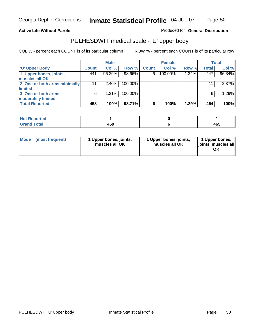## **Active Life Without Parole**

Produced for **General Distribution**

# PULHESDWIT medical scale - 'U' upper body

|                              |              | <b>Male</b> |         | <b>Female</b> |         | <b>Total</b> |       |        |
|------------------------------|--------------|-------------|---------|---------------|---------|--------------|-------|--------|
| <b>U' Upper Body</b>         | <b>Count</b> | Col %       | Row %   | <b>Count</b>  | Col %   | Row %        | Total | Col %  |
| 1 Upper bones, joints,       | 441          | 96.29%      | 98.66%  | 6             | 100.00% | 1.34%        | 447   | 96.34% |
| muscles all OK               |              |             |         |               |         |              |       |        |
| 2 One or both arms minimally | 11           | $2.40\%$    | 100.00% |               |         |              | 11    | 2.37%  |
| limited                      |              |             |         |               |         |              |       |        |
| 3 One or both arms           | 6            | $1.31\%$    | 100.00% |               |         |              | 6     | 1.29%  |
| moderately limited           |              |             |         |               |         |              |       |        |
| <b>Total Reported</b>        | 458          | 100%        | 98.71%  | 6             | 100%    | 1.29%        | 464   | 100%   |

| Reported<br>NOT F<br>$\sim$ |                       |           |
|-----------------------------|-----------------------|-----------|
| $f = 4 \pi r$<br>_____      | $\sim$<br>rv.<br>$ -$ | 465<br>__ |

| Mode (most frequent) |  | 1 Upper bones, joints,<br>muscles all OK | 1 Upper bones, joints,<br>muscles all OK | 1 Upper bones,<br>joints, muscles all<br>ΟK |
|----------------------|--|------------------------------------------|------------------------------------------|---------------------------------------------|
|----------------------|--|------------------------------------------|------------------------------------------|---------------------------------------------|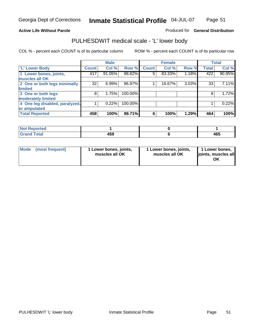#### **Active Life Without Parole**

### Produced for **General Distribution**

## PULHESDWIT medical scale - 'L' lower body

|                                |              | <b>Male</b> |         |              | <b>Female</b> |       |              | <b>Total</b> |
|--------------------------------|--------------|-------------|---------|--------------|---------------|-------|--------------|--------------|
| 'L' Lower Body                 | <b>Count</b> | Col %       | Row %   | <b>Count</b> | Col %         | Row % | <b>Total</b> | Col %        |
| 1 Lower bones, joints,         | 417          | 91.05%      | 98.82%  | 5            | 83.33%        | 1.18% | 422          | 90.95%       |
| muscles all OK                 |              |             |         |              |               |       |              |              |
| 2 One or both legs minimally   | 32           | 6.99%       | 96.97%  |              | 16.67%        | 3.03% | 33           | 7.11%        |
| limited                        |              |             |         |              |               |       |              |              |
| 3 One or both legs             | 8            | 1.75%       | 100.00% |              |               |       | 8            | 1.72%        |
| moderately limited             |              |             |         |              |               |       |              |              |
| 4 One leg disabled, paralyzed, |              | 0.22%       | 100.00% |              |               |       |              | 0.22%        |
| or amputated                   |              |             |         |              |               |       |              |              |
| <b>Total Reported</b>          | 458          | 100%        | 98.71%  | 6            | 100%          | 1.29% | 464          | 100%         |

| <b>Alax</b><br><b>ported</b><br><b>NOT</b> |              |     |
|--------------------------------------------|--------------|-----|
| <b>Total</b><br>$\sim$<br>------           | 4 E O<br>າວວ | 465 |

|  | Mode (most frequent) | 1 Lower bones, joints,<br>muscles all OK | 1 Lower bones, joints,<br>muscles all OK | 1 Lower bones,<br>joints, muscles all<br>OK |
|--|----------------------|------------------------------------------|------------------------------------------|---------------------------------------------|
|--|----------------------|------------------------------------------|------------------------------------------|---------------------------------------------|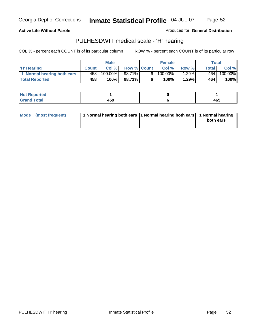### **Active Life Without Parole**

Produced for **General Distribution**

## PULHESDWIT medical scale - 'H' hearing

|                            | <b>Male</b>  |            | <b>Female</b>      |     |            | Total |              |         |
|----------------------------|--------------|------------|--------------------|-----|------------|-------|--------------|---------|
| <b>H'</b> Hearing          | <b>Count</b> | Col %      | <b>Row % Count</b> |     | Col %      | Row % | <b>Total</b> | Col %   |
| 1 Normal hearing both ears | 458          | $100.00\%$ | 98.71% <b>I</b>    | 6 I | $100.00\%$ | 1.29% | 464          | 100.00% |
| <b>Total Reported</b>      | 458          | 100%       | 98.71%             |     | 100%       | 1.29% | 464          | 100%    |

| <b>Not R</b><br><b>Reported</b> |            |     |
|---------------------------------|------------|-----|
| <b>Total</b><br>Grand           | $E^{\sim}$ | 465 |

| Mode (most frequent) | 1 Normal hearing both ears   1 Normal hearing both ears   1 Normal hearing |           |
|----------------------|----------------------------------------------------------------------------|-----------|
|                      |                                                                            | both ears |
|                      |                                                                            |           |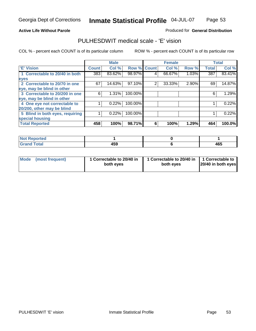Page 53

## **Active Life Without Parole**

## Produced for **General Distribution**

## PULHESDWIT medical scale - 'E' vision

|                                 |              | <b>Male</b> |                    |   | <b>Female</b> |       |              | <b>Total</b> |
|---------------------------------|--------------|-------------|--------------------|---|---------------|-------|--------------|--------------|
| 'E' Vision                      | <b>Count</b> | Col %       | <b>Row % Count</b> |   | Col %         | Row % | <b>Total</b> | Col %        |
| 1 Correctable to 20/40 in both  | 383          | 83.62%      | 98.97%             | 4 | 66.67%        | 1.03% | 387          | 83.41%       |
| eyes                            |              |             |                    |   |               |       |              |              |
| 2 Correctable to 20/70 in one   | 67           | $14.63\%$   | 97.10%             | 2 | 33.33%        | 2.90% | 69           | 14.87%       |
| eye, may be blind in other      |              |             |                    |   |               |       |              |              |
| 3 Correctable to 20/200 in one  | 6            | 1.31%       | 100.00%            |   |               |       | 6            | 1.29%        |
| eye, may be blind in other      |              |             |                    |   |               |       |              |              |
| 4 One eye not correctable to    |              | 0.22%       | 100.00%            |   |               |       |              | 0.22%        |
| 20/200, other may be blind      |              |             |                    |   |               |       |              |              |
| 5 Blind in both eyes, requiring |              | 0.22%       | 100.00%            |   |               |       |              | 0.22%        |
| special housing                 |              |             |                    |   |               |       |              |              |
| <b>Total Reported</b>           | 458          | 100%        | 98.71%             | 6 | 100%          | 1.29% | 464          | 100.0%       |

| ntea<br>$\cdots$ |              |     |
|------------------|--------------|-----|
| $\sim$<br>------ | 1 E N<br>439 | 465 |

| Mode | (most frequent) | 1 Correctable to 20/40 in<br>both eves | 1 Correctable to 20/40 in   1 Correctable to<br>both eves | 20/40 in both eyes |
|------|-----------------|----------------------------------------|-----------------------------------------------------------|--------------------|
|------|-----------------|----------------------------------------|-----------------------------------------------------------|--------------------|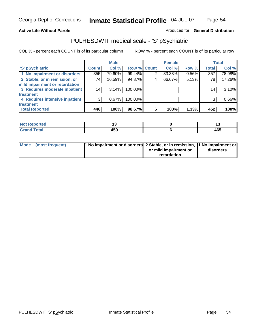## **Active Life Without Parole**

## Produced for **General Distribution**

## PULHESDWIT medical scale - 'S' pSychiatric

|                                |              | <b>Male</b> |             |                | <b>Female</b> |       |              | <b>Total</b> |
|--------------------------------|--------------|-------------|-------------|----------------|---------------|-------|--------------|--------------|
| 'S' pSychiatric                | <b>Count</b> | Col %       | Row % Count |                | Col %         | Row % | <b>Total</b> | Col %        |
| 1 No impairment or disorders   | 355          | 79.60%      | 99.44%      | $\overline{2}$ | 33.33%        | 0.56% | 357          | 78.98%       |
| 2 Stable, or in remission, or  | 74           | 16.59%      | 94.87%      | 4              | 66.67%        | 5.13% | 78           | 17.26%       |
| mild impairment or retardation |              |             |             |                |               |       |              |              |
| 3 Requires moderate inpatient  | 14           | $3.14\%$    | 100.00%     |                |               |       | 14           | 3.10%        |
| treatment                      |              |             |             |                |               |       |              |              |
| 4 Requires intensive inpatient | 3            | $0.67\%$    | 100.00%     |                |               |       | 3            | 0.66%        |
| treatment                      |              |             |             |                |               |       |              |              |
| <b>Total Reported</b>          | 446          | 100%        | 98.67%      | 6              | 100%          | 1.33% | 452          | 100%         |

| orted        |            |     |
|--------------|------------|-----|
| <b>Total</b> | ---<br>433 | 465 |

| Mode (most frequent) | 1 No impairment or disorders 2 Stable, or in remission, 11 No impairment or |                       |           |
|----------------------|-----------------------------------------------------------------------------|-----------------------|-----------|
|                      |                                                                             | or mild impairment or | disorders |
|                      |                                                                             | retardation           |           |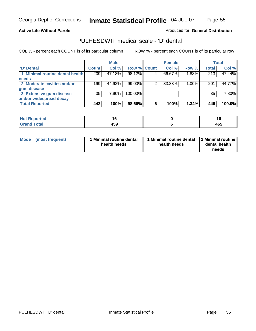Page 55

### **Active Life Without Parole**

## Produced for **General Distribution**

## PULHESDWIT medical scale - 'D' dental

|                                 |              | <b>Male</b> |                    | <b>Female</b> |          |              | <b>Total</b> |
|---------------------------------|--------------|-------------|--------------------|---------------|----------|--------------|--------------|
| 'D' Dental                      | <b>Count</b> | Col %       | <b>Row % Count</b> | Col %         | Row %    | <b>Total</b> | Col %        |
| 1 Minimal routine dental health | 209          | 47.18%      | 98.12%             | 66.67%        | 1.88%    | 213          | 47.44%       |
| <b>needs</b>                    |              |             |                    |               |          |              |              |
| 2 Moderate cavities and/or      | 199          | 44.92%      | 99.00%             | 33.33%        | $1.00\%$ | 201          | 44.77%       |
| gum disease                     |              |             |                    |               |          |              |              |
| 3 Extensive gum disease         | 35           | 7.90%       | 100.00%            |               |          | 35           | 7.80%        |
| and/or widespread decay         |              |             |                    |               |          |              |              |
| <b>Total Reported</b>           | 443          | 100%        | 98.66%             | 100%          | 1.34%    | 449          | 100.0%       |

| <b><i>Collage Address</i></b><br>тео<br>N | l la<br>$\sim$                        | 16<br>$\sim$ |
|-------------------------------------------|---------------------------------------|--------------|
| ______                                    | $\overline{\phantom{a}}$<br>405<br>__ | 465          |

| Mode | (most frequent) | <b>Minimal routine dental</b><br>health needs | 1 Minimal routine dental<br>health needs | 1 Minimal routine<br>dental health<br>needs |
|------|-----------------|-----------------------------------------------|------------------------------------------|---------------------------------------------|
|------|-----------------|-----------------------------------------------|------------------------------------------|---------------------------------------------|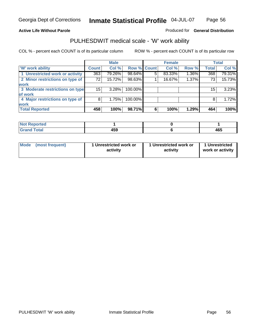## **Active Life Without Parole**

## Produced for **General Distribution**

## PULHESDWIT medical scale - 'W' work ability

|                                 |              | <b>Male</b> |             |   | <b>Female</b> |       |              | <b>Total</b> |
|---------------------------------|--------------|-------------|-------------|---|---------------|-------|--------------|--------------|
| <b>W' work ability</b>          | <b>Count</b> | Col %       | Row % Count |   | Col %         | Row % | <b>Total</b> | Col %        |
| 1 Unrestricted work or activity | 363          | 79.26%      | 98.64%      | 5 | 83.33%        | 1.36% | 368          | 79.31%       |
| 2 Minor restrictions on type of | 72           | 15.72%      | 98.63%      |   | 16.67%        | 1.37% | 73           | 15.73%       |
| <b>work</b>                     |              |             |             |   |               |       |              |              |
| 3 Moderate restrictions on type | 15           | 3.28%       | 100.00%     |   |               |       | 15           | 3.23%        |
| of work                         |              |             |             |   |               |       |              |              |
| 4 Major restrictions on type of | 8            | 1.75%       | 100.00%     |   |               |       | 8            | 1.72%        |
| <b>work</b>                     |              |             |             |   |               |       |              |              |
| <b>Total Reported</b>           | 458          | 100%        | 98.71%      | 6 | 100%          | 1.29% | 464          | 100%         |

| <b>Reported</b><br><b>NOT</b> |                                 |     |
|-------------------------------|---------------------------------|-----|
| <b>Total</b><br>------        | $\overline{\phantom{a}}$<br>439 | 465 |

| Mode | (most frequent) | 1 Unrestricted work or<br>activity | 1 Unrestricted work or<br>activity | 1 Unrestricted<br>work or activity |
|------|-----------------|------------------------------------|------------------------------------|------------------------------------|
|      |                 |                                    |                                    |                                    |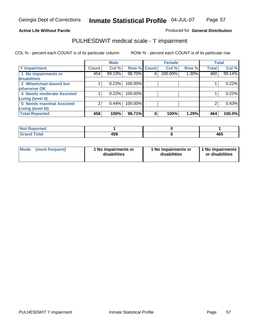Page 57

### **Active Life Without Parole**

## Produced for **General Distribution**

## PULHESDWIT medical scale - 'I' impairment

|                                            |              | <b>Male</b> |             |   | <b>Female</b> |       |              | <b>Total</b> |
|--------------------------------------------|--------------|-------------|-------------|---|---------------|-------|--------------|--------------|
| <b>T' Impairment</b>                       | <b>Count</b> | Col %       | Row % Count |   | Col %         | Row % | <b>Total</b> | Col %        |
| 1 No impairments or<br><b>disabilities</b> | 454          | 99.13%      | 98.70%      | 6 | 100.00%       | 1.30% | 460          | 99.14%       |
| 2 Wheelchair-bound but                     |              | 0.22%       | 100.00%     |   |               |       |              | 0.22%        |
| otherwise OK                               |              |             |             |   |               |       |              |              |
| 4 Needs moderate Assisted                  |              | 0.22%       | 100.00%     |   |               |       |              | 0.22%        |
| <b>Living (level II)</b>                   |              |             |             |   |               |       |              |              |
| 5 Needs maximal Assisted                   |              | 0.44%       | 100.00%     |   |               |       |              | 0.43%        |
| <b>Living (level III)</b>                  |              |             |             |   |               |       |              |              |
| <b>Total Reported</b>                      | 458          | 100%        | 98.71%      | 6 | 100%          | 1.29% | 464          | 100.0%       |

| Reported<br>NOT F      |     |     |
|------------------------|-----|-----|
| <b>Total</b><br>'Grand | 459 | 465 |

| <b>Mode</b> | (most frequent) | 1 No impairments or<br>disabilities | 1 No impairments or<br>disabilities | 1 No impairments  <br>or disabilities |
|-------------|-----------------|-------------------------------------|-------------------------------------|---------------------------------------|
|-------------|-----------------|-------------------------------------|-------------------------------------|---------------------------------------|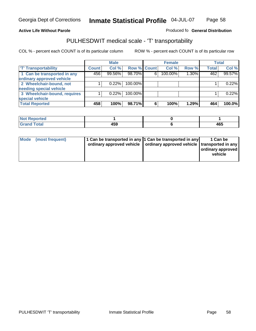#### **Inmate Statistical Profile** 04-JUL-07 Page Page 58

### **Active Life Without Parole Produced fo Seneral Distribution**

## PULHESDWIT medical scale - 'T' transportability

|                              |              | <b>Male</b> |             |   | <b>Female</b> |       |              | <b>Total</b> |
|------------------------------|--------------|-------------|-------------|---|---------------|-------|--------------|--------------|
| <b>T' Transportability</b>   | <b>Count</b> | Col %       | Row % Count |   | Col %         | Row % | <b>Total</b> | Col %        |
| 1 Can be transported in any  | 456          | 99.56%      | 98.70%      | 6 | 100.00%       | 1.30% | 462          | 99.57%       |
| ordinary approved vehicle    |              |             |             |   |               |       |              |              |
| 2 Wheelchair-bound, not      |              | 0.22%       | 100.00%     |   |               |       |              | 0.22%        |
| needing special vehicle      |              |             |             |   |               |       |              |              |
| 3 Wheelchair-bound, requires |              | 0.22%       | 100.00%     |   |               |       |              | 0.22%        |
| special vehicle              |              |             |             |   |               |       |              |              |
| <b>Total Reported</b>        | 458          | 100%        | 98.71%      | 6 | 100%          | 1.29% | 464          | 100.0%       |

| <b>Reported</b><br><b>NOT</b> |             |                    |
|-------------------------------|-------------|--------------------|
| <b>Total</b>                  | I E O<br>__ | $\mathbf{A}$<br>יט |

| Mode (most frequent) | 1 Can be transported in any 1 Can be transported in any | ordinary approved vehicle   ordinary approved vehicle   transported in any | 1 Can be<br>  ordinary approved  <br>vehicle |
|----------------------|---------------------------------------------------------|----------------------------------------------------------------------------|----------------------------------------------|
|----------------------|---------------------------------------------------------|----------------------------------------------------------------------------|----------------------------------------------|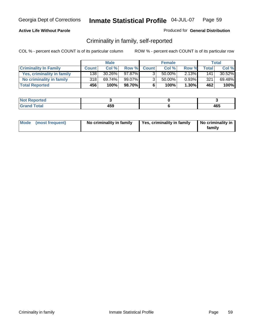## **Active Life Without Parole**

## Produced for **General Distribution**

## Criminality in family, self-reported

|                              |              | <b>Male</b> |        |                | <b>Female</b> |       |              | Total  |
|------------------------------|--------------|-------------|--------|----------------|---------------|-------|--------------|--------|
| <b>Criminality In Family</b> | <b>Count</b> | Col %       | Row %  | <b>Count</b>   | Col %         | Row % | <b>Total</b> | Col %  |
| Yes, criminality in family   | 1381         | 30.26%      | 97.87% | 3              | 50.00%        | 2.13% | 141          | 30.52% |
| No criminality in family     | 318          | 69.74%      | 99.07% | 3 <sub>1</sub> | 50.00%        | 0.93% | 321          | 69.48% |
| <b>Total Reported</b>        | 456          | 100%        | 98.70% | 6              | 100%          | 1.30% | 462          | 100%   |

| ported<br><b>NOT</b><br><b>IJCI</b> |     |     |
|-------------------------------------|-----|-----|
| $\sim$<br>Grar<br>--                | 459 | 465 |

| Mode (most frequent) |  | No criminality in family | Yes, criminality in family | No criminality in<br>family |
|----------------------|--|--------------------------|----------------------------|-----------------------------|
|----------------------|--|--------------------------|----------------------------|-----------------------------|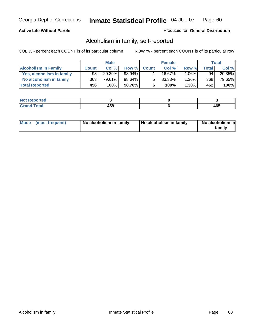## **Active Life Without Parole**

### Produced for **General Distribution**

## Alcoholism in family, self-reported

|                             |              | <b>Male</b> |        |              | <b>Female</b> |          |       | Total  |
|-----------------------------|--------------|-------------|--------|--------------|---------------|----------|-------|--------|
| <b>Alcoholism In Family</b> | <b>Count</b> | Col %       | Row %  | <b>Count</b> | Col %         | Row %    | Total | Col %  |
| Yes, alcoholism in family   | 93           | 20.39%      | 98.94% |              | 16.67%        | $1.06\%$ | 94    | 20.35% |
| No alcoholism in family     | 363          | 79.61%      | 98.64% | 5            | 83.33%        | $1.36\%$ | 368   | 79.65% |
| <b>Total Reported</b>       | 456          | 100%        | 98.70% | 6            | 100%          | $1.30\%$ | 462   | 100%   |

| oorted<br><b>NOT</b><br><b>IJCI</b> |              |            |
|-------------------------------------|--------------|------------|
| <b>c</b> otal<br>Gran<br>$\sim$     | 4 E O<br>433 | ARF<br>40. |

|  | Mode (most frequent) | No alcoholism in family | No alcoholism in family | No alcoholism in<br>familv |
|--|----------------------|-------------------------|-------------------------|----------------------------|
|--|----------------------|-------------------------|-------------------------|----------------------------|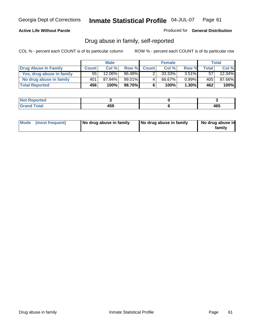## **Active Life Without Parole**

#### Produced for **General Distribution**

## Drug abuse in family, self-reported

|                           |              | <b>Male</b> |           |              | <b>Female</b> |          |              | Total     |
|---------------------------|--------------|-------------|-----------|--------------|---------------|----------|--------------|-----------|
| Drug Abuse In Family      | <b>Count</b> | Col %       | Row %     | <b>Count</b> | Col %         | Row %    | <b>Total</b> | Col %     |
| Yes, drug abuse in family | 55           | 12.06%      | $96.49\%$ |              | $33.33\%$     | $3.51\%$ | 57           | $12.34\%$ |
| No drug abuse in family   | 401          | 87.94%      | 99.01%    | 4            | 66.67%        | $0.99\%$ | 405'         | 87.66%    |
| <b>Total Reported</b>     | 456          | 100%        | 98.70%    | 6            | 100%          | $1.30\%$ | 462          | 100%      |

| oorted<br><b>NOT</b><br><b>IJCI</b> |              |            |
|-------------------------------------|--------------|------------|
| <b>c</b> otal<br>Gran<br>$\sim$     | 4 E O<br>433 | ARF<br>40. |

|  | Mode (most frequent) | No drug abuse in family | No drug abuse in family | No drug abuse in<br>family |
|--|----------------------|-------------------------|-------------------------|----------------------------|
|--|----------------------|-------------------------|-------------------------|----------------------------|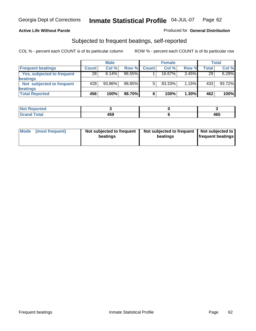## **Active Life Without Parole**

## Produced for **General Distribution**

# Subjected to frequent beatings, self-reported

|                            |              | <b>Male</b> |           |              | <b>Female</b> |          |       | Total  |
|----------------------------|--------------|-------------|-----------|--------------|---------------|----------|-------|--------|
| <b>Frequent beatings</b>   | <b>Count</b> | Col %       | Row %     | <b>Count</b> | Col%          | Row %    | Total | Col %  |
| Yes, subjected to frequent | 28           | 6.14%       | $96.55\%$ |              | $16.67\%$     | $3.45\%$ | 29    | 6.28%  |
| <b>beatings</b>            |              |             |           |              |               |          |       |        |
| Not subjected to frequent  | 428          | 93.86%      | 98.85%    | 5            | 83.33%        | 1.15%    | 433   | 93.72% |
| beatings                   |              |             |           |              |               |          |       |        |
| <b>Total Reported</b>      | 456          | 100%        | 98.70%    |              | 100%          | 1.30%    | 462   | 100%   |

| <b>Not Reported</b> |              |     |
|---------------------|--------------|-----|
| <b>Grand Total</b>  | 1 E O<br>າວວ | 465 |

| Mode | (most frequent) | Not subjected to frequent<br>beatings | Not subjected to frequent<br>beatings | Not subjected to<br><b>frequent beatings</b> |
|------|-----------------|---------------------------------------|---------------------------------------|----------------------------------------------|
|------|-----------------|---------------------------------------|---------------------------------------|----------------------------------------------|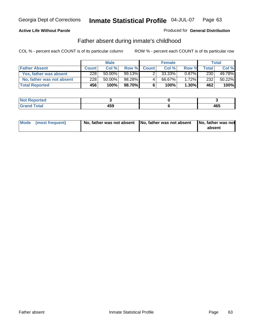## **Active Life Without Parole**

## Produced for **General Distribution**

## Father absent during inmate's childhood

|                           |              | <b>Male</b> |           |              | <b>Female</b> |          |       | Total  |
|---------------------------|--------------|-------------|-----------|--------------|---------------|----------|-------|--------|
| <b>Father Absent</b>      | <b>Count</b> | Col%        | Row %     | <b>Count</b> | Col %         | Row %    | Total | Col %  |
| Yes, father was absent    | 228          | $50.00\%$   | $99.13\%$ |              | 33.33%        | $0.87\%$ | 230   | 49.78% |
| No, father was not absent | 228          | 50.00%      | 98.28%    | 4            | 66.67%        | $1.72\%$ | 232   | 50.22% |
| <b>Total Reported</b>     | 456          | 100%        | 98.70%I   | 6            | 100%          | $1.30\%$ | 462   | 100%   |

| <b>Not Reported</b>   |             |     |
|-----------------------|-------------|-----|
| <b>Total</b><br>Grano | 459<br>$ -$ | 465 |

| Mode (most frequent) |  | 「No, father was not absent ┃No, father was not absent ┃No, father was not | absent |
|----------------------|--|---------------------------------------------------------------------------|--------|
|----------------------|--|---------------------------------------------------------------------------|--------|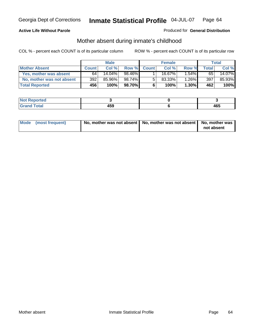## **Active Life Without Parole**

## Produced for **General Distribution**

# Mother absent during inmate's childhood

|                           |              | <b>Male</b> |        |              | <b>Female</b> |          |              | Total  |
|---------------------------|--------------|-------------|--------|--------------|---------------|----------|--------------|--------|
| <b>Mother Absent</b>      | <b>Count</b> | Col %       | Row %  | <b>Count</b> | Col %         | Row %    | <b>Total</b> | Col %  |
| Yes, mother was absent    | 64           | $14.04\%$   | 98.46% |              | 16.67%        | $1.54\%$ | 65           | 14.07% |
| No, mother was not absent | 392          | 85.96%      | 98.74% | 5            | $83.33\%$     | $1.26\%$ | 397          | 85.93% |
| <b>Total Reported</b>     | 456          | 100%        | 98.70% | 6            | 100%          | $1.30\%$ | 462          | 100%   |

| <b>Not Reported</b>   |             |     |
|-----------------------|-------------|-----|
| <b>Total</b><br>Grano | 459<br>$ -$ | 465 |

| Mode (most frequent) | No, mother was not absent   No, mother was not absent   No, mother was | not absent |
|----------------------|------------------------------------------------------------------------|------------|
|----------------------|------------------------------------------------------------------------|------------|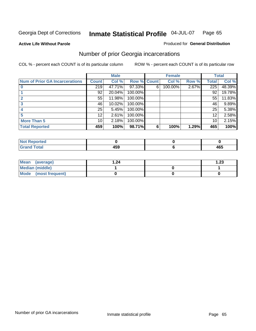**Active Life Without Parole** 

#### Produced for **General Distribution**

## Number of prior Georgia incarcerations

|                                       |                 | <b>Male</b> |                    |   | <b>Female</b> |       |       | <b>Total</b> |
|---------------------------------------|-----------------|-------------|--------------------|---|---------------|-------|-------|--------------|
| <b>Num of Prior GA Incarcerations</b> | <b>Count</b>    | Col %       | <b>Row % Count</b> |   | Col %         | Row % | Total | Col %        |
|                                       | 219             | 47.71%      | 97.33%             | 6 | 100.00%       | 2.67% | 225   | 48.39%       |
|                                       | 92              | 20.04%      | 100.00%            |   |               |       | 92    | 19.78%       |
|                                       | 55              | 11.98%      | 100.00%            |   |               |       | 55    | 11.83%       |
|                                       | 46              | 10.02%      | 100.00%            |   |               |       | 46    | 9.89%        |
|                                       | 25              | 5.45%       | 100.00%            |   |               |       | 25    | 5.38%        |
|                                       | 12              | 2.61%       | 100.00%            |   |               |       | 12    | 2.58%        |
| <b>More Than 5</b>                    | 10 <sup>1</sup> | 2.18%       | 100.00%            |   |               |       | 10    | 2.15%        |
| <b>Total Reported</b>                 | 459             | 100%        | 98.71%             | 6 | 100%          | 1.29% | 465   | 100%         |

| Reported<br>NOT         |     |     |
|-------------------------|-----|-----|
| <b>otal</b><br>$\sim$ . | --- | 465 |

| Mean (average)       | 1.24 | 1.23 |
|----------------------|------|------|
| Median (middle)      |      |      |
| Mode (most frequent) |      |      |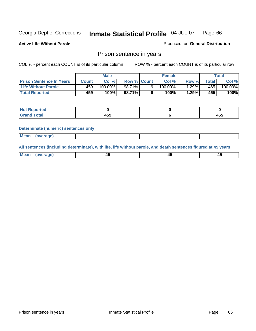**Active Life Without Parole** 

Produced for **General Distribution**

## Prison sentence in years

COL % - percent each COUNT is of its particular column ROW % - percent each COUNT is of its particular row

|                                 | <b>Male</b>  |            |                    | <b>Female</b> | Total |             |         |
|---------------------------------|--------------|------------|--------------------|---------------|-------|-------------|---------|
| <b>Prison Sentence In Years</b> | <b>Count</b> | Col %      | <b>Row % Count</b> | Col %         | Row % | $\tau$ otal | Col %   |
| <b>Life Without Parole</b>      | 459          | $100.00\%$ | 98.71%             | $100.00\%$    | .29%  | 465         | 100.00% |
| <b>Total Reported</b>           | 459          | 100%       | 98.71%             | 100%          | 1.29% | 465'        | 100%    |

| Reported                |            |     |
|-------------------------|------------|-----|
| <b>Total</b><br>' Grand | האו<br>439 | 465 |

#### **Determinate (numeric) sentences only**

| <b>Mean</b> | (average) |  |  |
|-------------|-----------|--|--|

**All sentences (including determinate), with life, life without parole, and death sentences figured at 45 years**

| Me:<br>апет<br>.<br>᠇<br>$\sim$ | -- | т.<br>$\sim$ |
|---------------------------------|----|--------------|
|---------------------------------|----|--------------|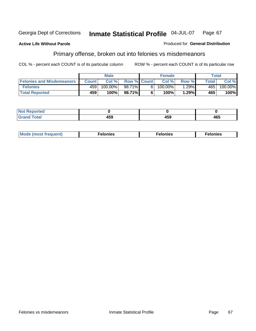### **Active Life Without Parole**

#### Produced for **General Distribution**

# Primary offense, broken out into felonies vs misdemeanors

|                                  | <b>Male</b>  |         |                    | <b>Female</b> |            |       | Total  |            |
|----------------------------------|--------------|---------|--------------------|---------------|------------|-------|--------|------------|
| <b>Felonies and Misdemeanors</b> | <b>Count</b> | Col%    | <b>Row % Count</b> |               | Col%       | Row % | Total. | Col %      |
| <b>Felonies</b>                  | 459          | 100.00% | 98.71%             | 61            | $100.00\%$ | .29%  | 465'   | $100.00\%$ |
| <b>Total Reported</b>            | 459          | 100%    | 98.71%I            |               | 100%       | .29%  | 465    | 100%       |

| <b>Not</b><br>$\lceil \cdot \rceil$ nted<br>$\sim$          |                 |              |     |
|-------------------------------------------------------------|-----------------|--------------|-----|
| $\mathcal{L}$ at all<br>Grar<br>$\mathbf{v}$ . $\mathbf{u}$ | $\cdots$<br>7JJ | 1 F A<br>199 | 465 |

| M<br>$\cdots$<br>пю.<br>. | nies<br>. | . |
|---------------------------|-----------|---|
|---------------------------|-----------|---|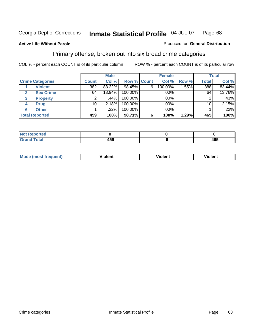**Active Life Without Parole** 

#### Produced for **General Distribution**

## Primary offense, broken out into six broad crime categories

|                         | <b>Male</b>     |        |             | <b>Female</b> |         |       | <b>Total</b> |        |
|-------------------------|-----------------|--------|-------------|---------------|---------|-------|--------------|--------|
| <b>Crime Categories</b> | <b>Count</b>    | Col %  | Row % Count |               | Col %   | Row % | <b>Total</b> | Col %  |
| <b>Violent</b>          | 382             | 83.22% | 98.45%      | 6             | 100.00% | .55%  | 388          | 83.44% |
| <b>Sex Crime</b>        | 64              | 13.94% | 100.00%     |               | .00%    |       | 64           | 13.76% |
| 3<br><b>Property</b>    | 2               | .44%   | 100.00%     |               | .00%    |       | 2            | .43%   |
| <b>Drug</b><br>4        | 10 <sup>1</sup> | 2.18%  | 100.00%     |               | .00%    |       | 10           | 2.15%  |
| <b>Other</b><br>6       |                 | .22%   | 100.00%     |               | .00%    |       |              | .22%   |
| <b>Total Reported</b>   | 459             | 100%   | 98.71%      | 6             | 100%    | 1.29% | 465          | 100%   |

| Reported<br>NOT I<br> |     |              |
|-----------------------|-----|--------------|
| ------                | 459 | 1 C E<br>+0J |

| Mo | <u>_</u> | winlor" | ılen' |
|----|----------|---------|-------|
|    |          |         |       |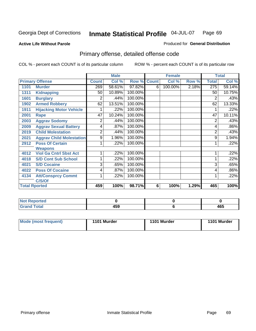**Active Life Without Parole** 

Produced for **General Distribution**

# Primary offense, detailed offense code

|      |                                 |              | <b>Male</b> |             |   | <b>Female</b> |       |              | <b>Total</b> |
|------|---------------------------------|--------------|-------------|-------------|---|---------------|-------|--------------|--------------|
|      | <b>Primary Offense</b>          | <b>Count</b> | Col %       | Row % Count |   | Col %         | Row % | <b>Total</b> | Col %        |
| 1101 | <b>Murder</b>                   | 269          | 58.61%      | 97.82%      | 6 | 100.00%       | 2.18% | 275          | 59.14%       |
| 1311 | <b>Kidnapping</b>               | 50           | 10.89%      | 100.00%     |   |               |       | 50           | 10.75%       |
| 1601 | <b>Burglary</b>                 | 2            | .44%        | 100.00%     |   |               |       | 2            | .43%         |
| 1902 | <b>Armed Robbery</b>            | 62           | 13.51%      | 100.00%     |   |               |       | 62           | 13.33%       |
| 1911 | <b>Hijacking Motor Vehicle</b>  |              | .22%        | 100.00%     |   |               |       |              | .22%         |
| 2001 | Rape                            | 47           | 10.24%      | 100.00%     |   |               |       | 47           | 10.11%       |
| 2003 | <b>Aggrav Sodomy</b>            | 2            | .44%        | 100.00%     |   |               |       | 2            | .43%         |
| 2009 | <b>Aggrav Sexual Battery</b>    | 4            | .87%        | 100.00%     |   |               |       | 4            | .86%         |
| 2019 | <b>Child Molestation</b>        | 2            | .44%        | 100.00%     |   |               |       | 2            | .43%         |
| 2021 | <b>Aggrav Child Molestation</b> | 9            | 1.96%       | 100.00%     |   |               |       | 9            | 1.94%        |
| 2912 | <b>Poss Of Certain</b>          |              | .22%        | 100.00%     |   |               |       |              | .22%         |
|      | <b>Weapons</b>                  |              |             |             |   |               |       |              |              |
| 4012 | <b>Viol Ga Cntrl Sbst Act</b>   | 1            | .22%        | 100.00%     |   |               |       |              | .22%         |
| 4018 | <b>S/D Cont Sub School</b>      |              | .22%        | 100.00%     |   |               |       |              | .22%         |
| 4021 | <b>S/D Cocaine</b>              | 3            | .65%        | 100.00%     |   |               |       | 3            | .65%         |
| 4022 | <b>Poss Of Cocaine</b>          | 4            | .87%        | 100.00%     |   |               |       | 4            | .86%         |
| 4134 | <b>Att/Consprcy Commt</b>       | 1            | .22%        | 100.00%     |   |               |       |              | $.22\%$      |
|      | C/S/Of                          |              |             |             |   |               |       |              |              |
|      | <b>Total Rported</b>            | 459          | 100%        | 98.71%      | 6 | 100%          | 1.29% | 465          | 100%         |

| <b>Not Reported</b> |     |     |
|---------------------|-----|-----|
| <b>Total</b>        | 459 | 465 |

| Mode (most frequent) | 1101 Murder | 1101 Murder | 1101 Murder |
|----------------------|-------------|-------------|-------------|
|----------------------|-------------|-------------|-------------|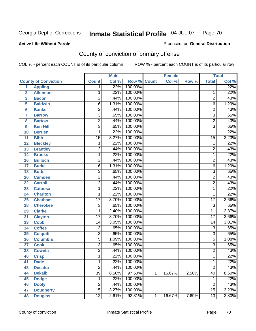## **Active Life Without Parole**

## Produced for **General Distribution**

# County of conviction of primary offense

|                         |                             |                           | <b>Male</b> |         |              | <b>Female</b> |       |                 | <b>Total</b> |
|-------------------------|-----------------------------|---------------------------|-------------|---------|--------------|---------------|-------|-----------------|--------------|
|                         | <b>County of Conviction</b> | <b>Count</b>              | Col %       | Row %   | <b>Count</b> | Col %         | Row % | <b>Total</b>    | Col %        |
| 1                       | <b>Appling</b>              | 1                         | .22%        | 100.00% |              |               |       | 1               | .22%         |
| $\overline{2}$          | <b>Atkinson</b>             | 1                         | .22%        | 100.00% |              |               |       | 1               | .22%         |
| $\overline{\mathbf{3}}$ | <b>Bacon</b>                | $\overline{2}$            | .44%        | 100.00% |              |               |       | $\overline{2}$  | .43%         |
| 5                       | <b>Baldwin</b>              | $\overline{6}$            | 1.31%       | 100.00% |              |               |       | $\overline{6}$  | 1.29%        |
| 6                       | <b>Banks</b>                | $\overline{2}$            | .44%        | 100.00% |              |               |       | $\overline{c}$  | .43%         |
| $\overline{7}$          | <b>Barrow</b>               | $\overline{3}$            | .65%        | 100.00% |              |               |       | $\overline{3}$  | .65%         |
| 8                       | <b>Bartow</b>               | $\overline{2}$            | .44%        | 100.00% |              |               |       | $\overline{2}$  | .43%         |
| 9                       | <b>Ben Hill</b>             | $\overline{\overline{3}}$ | .65%        | 100.00% |              |               |       | $\overline{3}$  | .65%         |
| 10                      | <b>Berrien</b>              | 1                         | .22%        | 100.00% |              |               |       | 1               | .22%         |
| 11                      | <b>Bibb</b>                 | $\overline{15}$           | 3.27%       | 100.00% |              |               |       | $\overline{15}$ | 3.23%        |
| 12                      | <b>Bleckley</b>             | 1                         | .22%        | 100.00% |              |               |       | $\mathbf 1$     | .22%         |
| 13                      | <b>Brantley</b>             | $\overline{2}$            | .44%        | 100.00% |              |               |       | $\overline{2}$  | .43%         |
| 14                      | <b>Brooks</b>               | 1                         | .22%        | 100.00% |              |               |       | 1               | .22%         |
| 16                      | <b>Bulloch</b>              | $\overline{2}$            | .44%        | 100.00% |              |               |       | $\overline{2}$  | .43%         |
| 17                      | <b>Burke</b>                | $\overline{6}$            | 1.31%       | 100.00% |              |               |       | $\overline{6}$  | 1.29%        |
| 18                      | <b>Butts</b>                | $\overline{3}$            | .65%        | 100.00% |              |               |       | $\overline{3}$  | .65%         |
| 20                      | <b>Camden</b>               | $\overline{2}$            | .44%        | 100.00% |              |               |       | $\overline{2}$  | .43%         |
| 22                      | <b>Carroll</b>              | $\overline{2}$            | .44%        | 100.00% |              |               |       | $\overline{2}$  | .43%         |
| 23                      | <b>Catoosa</b>              | 1                         | .22%        | 100.00% |              |               |       | 1               | .22%         |
| 24                      | <b>Charlton</b>             | 1                         | .22%        | 100.00% |              |               |       | 1               | .22%         |
| 25                      | <b>Chatham</b>              | $\overline{17}$           | 3.70%       | 100.00% |              |               |       | $\overline{17}$ | 3.66%        |
| 28                      | <b>Cherokee</b>             | $\overline{3}$            | .65%        | 100.00% |              |               |       | $\overline{3}$  | .65%         |
| 29                      | <b>Clarke</b>               | $\overline{11}$           | 2.40%       | 100.00% |              |               |       | $\overline{11}$ | 2.37%        |
| 31                      | <b>Clayton</b>              | $\overline{17}$           | 3.70%       | 100.00% |              |               |       | $\overline{17}$ | 3.66%        |
| 33                      | <b>Cobb</b>                 | 14                        | 3.05%       | 100.00% |              |               |       | 14              | 3.01%        |
| 34                      | <b>Coffee</b>               | $\overline{3}$            | .65%        | 100.00% |              |               |       | $\overline{3}$  | .65%         |
| 35                      | <b>Colquitt</b>             | $\overline{3}$            | .65%        | 100.00% |              |               |       | $\overline{3}$  | .65%         |
| 36                      | <b>Columbia</b>             | $\overline{5}$            | 1.09%       | 100.00% |              |               |       | $\overline{5}$  | 1.08%        |
| 37                      | <b>Cook</b>                 | $\overline{3}$            | .65%        | 100.00% |              |               |       | $\overline{3}$  | .65%         |
| 38                      | <b>Coweta</b>               | $\overline{2}$            | .44%        | 100.00% |              |               |       | $\overline{2}$  | .43%         |
| 40                      | <b>Crisp</b>                | 1                         | .22%        | 100.00% |              |               |       | 1               | .22%         |
| 41                      | <b>Dade</b>                 | 1                         | .22%        | 100.00% |              |               |       | 1               | .22%         |
| 43                      | <b>Decatur</b>              | $\overline{2}$            | .44%        | 100.00% |              |               |       | $\overline{2}$  | .43%         |
| 44                      | <b>Dekalb</b>               | $\overline{39}$           | 8.50%       | 97.50%  | 1            | 16.67%        | 2.50% | $\overline{40}$ | 8.60%        |
| 45                      | <b>Dodge</b>                | 1                         | .22%        | 100.00% |              |               |       | 1               | .22%         |
| 46                      | <b>Dooly</b>                | $\overline{2}$            | .44%        | 100.00% |              |               |       | $\overline{2}$  | .43%         |
| 47                      | <b>Dougherty</b>            | $\overline{15}$           | 3.27%       | 100.00% |              |               |       | 15              | 3.23%        |
| 48                      | <b>Douglas</b>              | $\overline{12}$           | 2.61%       | 92.31%  | 1            | 16.67%        | 7.69% | $\overline{13}$ | 2.80%        |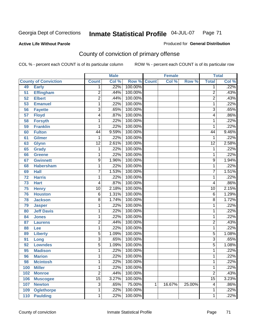## **Active Life Without Parole**

## Produced for **General Distribution**

# County of conviction of primary offense

|     |                             |                 | <b>Male</b> |                    |   | <b>Female</b> |        |                 | <b>Total</b>               |
|-----|-----------------------------|-----------------|-------------|--------------------|---|---------------|--------|-----------------|----------------------------|
|     | <b>County of Conviction</b> | <b>Count</b>    | Col %       | <b>Row % Count</b> |   | Col %         | Row %  | <b>Total</b>    | $\overline{\text{Col }^9}$ |
| 49  | <b>Early</b>                | 1               | .22%        | 100.00%            |   |               |        | 1               | .22%                       |
| 51  | <b>Effingham</b>            | $\overline{c}$  | .44%        | 100.00%            |   |               |        | $\overline{2}$  | .43%                       |
| 52  | <b>Elbert</b>               | $\overline{2}$  | .44%        | 100.00%            |   |               |        | $\overline{2}$  | .43%                       |
| 53  | <b>Emanuel</b>              | 1               | .22%        | 100.00%            |   |               |        | 1               | .22%                       |
| 56  | <b>Fayette</b>              | $\overline{3}$  | .65%        | 100.00%            |   |               |        | 3               | .65%                       |
| 57  | <b>Floyd</b>                | 4               | .87%        | 100.00%            |   |               |        | 4               | .86%                       |
| 58  | <b>Forsyth</b>              | 1               | .22%        | 100.00%            |   |               |        | 1               | .22%                       |
| 59  | <b>Franklin</b>             | 1               | .22%        | 100.00%            |   |               |        | 1               | .22%                       |
| 60  | <b>Fulton</b>               | 44              | 9.59%       | 100.00%            |   |               |        | 44              | 9.46%                      |
| 61  | <b>Gilmer</b>               | 1               | .22%        | 100.00%            |   |               |        | 1               | .22%                       |
| 63  | <b>Glynn</b>                | $\overline{12}$ | 2.61%       | 100.00%            |   |               |        | $\overline{12}$ | 2.58%                      |
| 65  | <b>Grady</b>                | 1               | .22%        | 100.00%            |   |               |        | 1               | .22%                       |
| 66  | <b>Greene</b>               | 1               | .22%        | 100.00%            |   |               |        | 1               | .22%                       |
| 67  | <b>Gwinnett</b>             | 9               | 1.96%       | 100.00%            |   |               |        | $\overline{9}$  | 1.94%                      |
| 68  | <b>Habersham</b>            | 1               | .22%        | 100.00%            |   |               |        | 1               | .22%                       |
| 69  | <b>Hall</b>                 | 7               | 1.53%       | 100.00%            |   |               |        | $\overline{7}$  | 1.51%                      |
| 72  | <b>Harris</b>               | 1               | .22%        | 100.00%            |   |               |        | 1               | .22%                       |
| 73  | <b>Hart</b>                 | 4               | .87%        | 100.00%            |   |               |        | 4               | .86%                       |
| 75  | <b>Henry</b>                | $\overline{10}$ | 2.18%       | 100.00%            |   |               |        | 10              | 2.15%                      |
| 76  | <b>Houston</b>              | 6               | 1.31%       | 100.00%            |   |               |        | 6               | 1.29%                      |
| 78  | <b>Jackson</b>              | 8               | 1.74%       | 100.00%            |   |               |        | 8               | 1.72%                      |
| 79  | <b>Jasper</b>               | 1               | .22%        | 100.00%            |   |               |        | 1               | .22%                       |
| 80  | <b>Jeff Davis</b>           | 1               | .22%        | 100.00%            |   |               |        | 1               | .22%                       |
| 84  | <b>Jones</b>                | 1               | .22%        | 100.00%            |   |               |        | 1               | .22%                       |
| 87  | <b>Laurens</b>              | $\overline{c}$  | .44%        | 100.00%            |   |               |        | 2               | .43%                       |
| 88  | Lee                         | 1               | .22%        | 100.00%            |   |               |        | 1               | .22%                       |
| 89  | <b>Liberty</b>              | $\overline{5}$  | 1.09%       | 100.00%            |   |               |        | 5               | 1.08%                      |
| 91  | Long                        | $\overline{3}$  | .65%        | 100.00%            |   |               |        | 3               | .65%                       |
| 92  | <b>Lowndes</b>              | $\overline{5}$  | 1.09%       | 100.00%            |   |               |        | 5               | 1.08%                      |
| 95  | <b>Madison</b>              | 1               | .22%        | 100.00%            |   |               |        | 1               | .22%                       |
| 96  | <b>Marion</b>               | 1               | .22%        | 100.00%            |   |               |        | 1               | .22%                       |
| 98  | <b>Mcintosh</b>             | 1               | .22%        | 100.00%            |   |               |        | $\mathbf{1}$    | .22%                       |
| 100 | <b>Miller</b>               | 1               | .22%        | 100.00%            |   |               |        | 1               | .22%                       |
| 102 | <b>Monroe</b>               | $\overline{2}$  | .44%        | 100.00%            |   |               |        | $\overline{2}$  | .43%                       |
| 106 | <b>Muscogee</b>             | $\overline{15}$ | 3.27%       | 100.00%            |   |               |        | $\overline{15}$ | 3.23%                      |
| 107 | <b>Newton</b>               | $\overline{3}$  | .65%        | 75.00%             | 1 | 16.67%        | 25.00% | 4               | .86%                       |
| 109 | <b>Oglethorpe</b>           | 1               | .22%        | 100.00%            |   |               |        | 1               | .22%                       |
| 110 | <b>Paulding</b>             | 1               | .22%        | 100.00%            |   |               |        | 1               | .22%                       |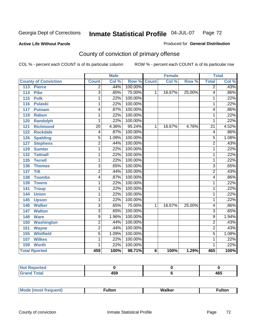### **Active Life Without Parole**

### Produced for **General Distribution**

# County of conviction of primary offense

|                             |                 | <b>Male</b> |                    |   | <b>Female</b> |        |                 | <b>Total</b> |
|-----------------------------|-----------------|-------------|--------------------|---|---------------|--------|-----------------|--------------|
| <b>County of Conviction</b> | <b>Count</b>    | Col %       | <b>Row % Count</b> |   | Col %         | Row %  | <b>Total</b>    | Col %        |
| 113<br><b>Pierce</b>        | $\overline{2}$  | .44%        | 100.00%            |   |               |        | $\overline{2}$  | .43%         |
| <b>Pike</b><br>114          | $\overline{3}$  | .65%        | 75.00%             | 1 | 16.67%        | 25.00% | 4               | .86%         |
| 115<br><b>Polk</b>          | 1               | .22%        | 100.00%            |   |               |        | 1               | .22%         |
| <b>Pulaski</b><br>116       | 1               | .22%        | 100.00%            |   |               |        | 1               | .22%         |
| 117<br><b>Putnam</b>        | 4               | .87%        | 100.00%            |   |               |        | 4               | .86%         |
| 119<br><b>Rabun</b>         | 1               | .22%        | 100.00%            |   |               |        | 1               | .22%         |
| <b>Randolph</b><br>120      | 1               | .22%        | 100.00%            |   |               |        | 1               | .22%         |
| <b>Richmond</b><br>121      | $\overline{20}$ | 4.36%       | 95.24%             | 1 | 16.67%        | 4.76%  | $\overline{21}$ | 4.52%        |
| <b>Rockdale</b><br>122      | 4               | .87%        | 100.00%            |   |               |        | 4               | .86%         |
| 126<br><b>Spalding</b>      | $\overline{5}$  | 1.09%       | 100.00%            |   |               |        | $\overline{5}$  | 1.08%        |
| <b>Stephens</b><br>127      | $\overline{2}$  | .44%        | 100.00%            |   |               |        | 2               | .43%         |
| <b>Sumter</b><br>129        | 1               | .22%        | 100.00%            |   |               |        | 1               | .22%         |
| <b>Tattnall</b><br>132      | 1               | .22%        | 100.00%            |   |               |        | 1               | .22%         |
| <b>Terrell</b><br>135       | 1               | .22%        | 100.00%            |   |               |        | 1               | .22%         |
| 136<br><b>Thomas</b>        | $\overline{3}$  | .65%        | 100.00%            |   |               |        | $\overline{3}$  | .65%         |
| <b>Tift</b><br>137          | $\overline{2}$  | .44%        | 100.00%            |   |               |        | $\overline{2}$  | .43%         |
| <b>Toombs</b><br>138        | 4               | .87%        | 100.00%            |   |               |        | 4               | .86%         |
| <b>Towns</b><br>139         | 1               | .22%        | 100.00%            |   |               |        | 1               | .22%         |
| 141<br><b>Troup</b>         | 1               | .22%        | 100.00%            |   |               |        | 1               | .22%         |
| <b>Union</b><br>144         | 1               | .22%        | 100.00%            |   |               |        | 1               | .22%         |
| 145<br><b>Upson</b>         | 1               | .22%        | 100.00%            |   |               |        | 1               | .22%         |
| <b>Walker</b><br>146        | $\overline{3}$  | .65%        | 75.00%             | 1 | 16.67%        | 25.00% | 4               | .86%         |
| <b>Walton</b><br>147        | $\overline{3}$  | .65%        | 100.00%            |   |               |        | $\overline{3}$  | .65%         |
| <b>Ware</b><br>148          | $\overline{9}$  | 1.96%       | 100.00%            |   |               |        | $\overline{9}$  | 1.94%        |
| <b>Washington</b><br>150    | $\overline{2}$  | .44%        | 100.00%            |   |               |        | 2               | .43%         |
| <b>Wayne</b><br>151         | $\overline{2}$  | .44%        | 100.00%            |   |               |        | 2               | .43%         |
| <b>Whitfield</b><br>155     | $\overline{5}$  | 1.09%       | 100.00%            |   |               |        | $\overline{5}$  | 1.08%        |
| <b>Wilkes</b><br>157        | 1               | .22%        | 100.00%            |   |               |        | 1               | .22%         |
| <b>Worth</b><br>159         | 1               | .22%        | 100.00%            |   |               |        | 1               | .22%         |
| <b>Total Rported</b>        | 459             | 100%        | 98.71%             | 6 | 100%          | 1.29%  | 465             | 100%         |

| $\sim$ $\sim$<br>.<br>$ -$ | .<br>40.7<br>$ -$ |
|----------------------------|-------------------|

|  | M |  | MI- | 1ltr |
|--|---|--|-----|------|
|--|---|--|-----|------|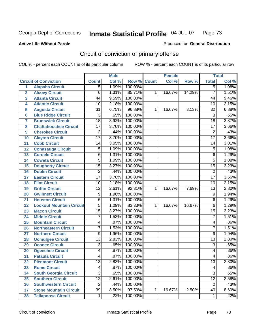**Active Life Without Parole** 

Produced for **General Distribution**

# Circuit of conviction of primary offense

|                         |                                 |                 | <b>Male</b> |             |   | <b>Female</b> |        |                 | <b>Total</b> |
|-------------------------|---------------------------------|-----------------|-------------|-------------|---|---------------|--------|-----------------|--------------|
|                         | <b>Circuit of Conviction</b>    | <b>Count</b>    | Col %       | Row % Count |   | Col %         | Row %  | <b>Total</b>    | Col %        |
| 1                       | <b>Alapaha Circuit</b>          | 5               | 1.09%       | 100.00%     |   |               |        | $\overline{5}$  | 1.08%        |
| $\overline{2}$          | <b>Alcovy Circuit</b>           | 6               | 1.31%       | 85.71%      | 1 | 16.67%        | 14.29% | $\overline{7}$  | 1.51%        |
| $\overline{\mathbf{3}}$ | <b>Atlanta Circuit</b>          | 44              | 9.59%       | 100.00%     |   |               |        | 44              | 9.46%        |
| 4                       | <b>Atlantic Circuit</b>         | 10              | 2.18%       | 100.00%     |   |               |        | 10              | 2.15%        |
| 5                       | <b>Augusta Circuit</b>          | $\overline{31}$ | 6.75%       | 96.88%      | 1 | 16.67%        | 3.13%  | $\overline{32}$ | 6.88%        |
| 6                       | <b>Blue Ridge Circuit</b>       | $\overline{3}$  | .65%        | 100.00%     |   |               |        | $\overline{3}$  | .65%         |
| $\overline{7}$          | <b>Brunswick Circuit</b>        | $\overline{18}$ | 3.92%       | 100.00%     |   |               |        | $\overline{18}$ | 3.87%        |
| 8                       | <b>Chattahoochee Circuit</b>    | 17              | 3.70%       | 100.00%     |   |               |        | $\overline{17}$ | 3.66%        |
| 9                       | <b>Cherokee Circuit</b>         | $\overline{2}$  | .44%        | 100.00%     |   |               |        | $\overline{2}$  | .43%         |
| 10                      | <b>Clayton Circuit</b>          | $\overline{17}$ | 3.70%       | 100.00%     |   |               |        | $\overline{17}$ | 3.66%        |
| 11                      | <b>Cobb Circuit</b>             | 14              | 3.05%       | 100.00%     |   |               |        | 14              | 3.01%        |
| 12                      | <b>Conasauga Circuit</b>        | 5               | 1.09%       | 100.00%     |   |               |        | 5               | 1.08%        |
| 13                      | <b>Cordele Circuit</b>          | 6               | 1.31%       | 100.00%     |   |               |        | 6               | 1.29%        |
| 14                      | <b>Coweta Circuit</b>           | $\overline{5}$  | 1.09%       | 100.00%     |   |               |        | 5               | 1.08%        |
| 15                      | <b>Dougherty Circuit</b>        | $\overline{15}$ | 3.27%       | 100.00%     |   |               |        | $\overline{15}$ | 3.23%        |
| 16                      | <b>Dublin Circuit</b>           | $\overline{2}$  | .44%        | 100.00%     |   |               |        | $\overline{2}$  | .43%         |
| 17                      | <b>Eastern Circuit</b>          | $\overline{17}$ | 3.70%       | 100.00%     |   |               |        | $\overline{17}$ | 3.66%        |
| 18                      | <b>Flint Circuit</b>            | $\overline{10}$ | 2.18%       | 100.00%     |   |               |        | 10              | 2.15%        |
| 19                      | <b>Griffin Circuit</b>          | $\overline{12}$ | 2.61%       | 92.31%      | 1 | 16.67%        | 7.69%  | $\overline{13}$ | 2.80%        |
| 20                      | <b>Gwinnett Circuit</b>         | 9               | 1.96%       | 100.00%     |   |               |        | 9               | 1.94%        |
| 21                      | <b>Houston Circuit</b>          | $\overline{6}$  | 1.31%       | 100.00%     |   |               |        | 6               | 1.29%        |
| 22                      | <b>Lookout Mountain Circuit</b> | $\overline{5}$  | 1.09%       | 83.33%      | 1 | 16.67%        | 16.67% | 6               | 1.29%        |
| 23                      | <b>Macon Circuit</b>            | $\overline{15}$ | 3.27%       | 100.00%     |   |               |        | $\overline{15}$ | 3.23%        |
| 24                      | <b>Middle Circuit</b>           | $\overline{7}$  | 1.53%       | 100.00%     |   |               |        | $\overline{7}$  | 1.51%        |
| 25                      | <b>Mountain Circuit</b>         | 4               | .87%        | 100.00%     |   |               |        | 4               | .86%         |
| 26                      | <b>Northeastern Circuit</b>     | $\overline{7}$  | 1.53%       | 100.00%     |   |               |        | 7               | 1.51%        |
| 27                      | <b>Northern Circuit</b>         | $\overline{9}$  | 1.96%       | 100.00%     |   |               |        | 9               | 1.94%        |
| 28                      | <b>Ocmulgee Circuit</b>         | $\overline{13}$ | 2.83%       | 100.00%     |   |               |        | $\overline{13}$ | 2.80%        |
| 29                      | <b>Oconee Circuit</b>           | $\overline{3}$  | .65%        | 100.00%     |   |               |        | $\overline{3}$  | .65%         |
| 30                      | <b>Ogeechee Circuit</b>         | 4               | .87%        | 100.00%     |   |               |        | 4               | .86%         |
| 31                      | <b>Pataula Circuit</b>          | 4               | .87%        | 100.00%     |   |               |        | 4               | .86%         |
| 32                      | <b>Piedmont Circuit</b>         | 13              | 2.83%       | 100.00%     |   |               |        | 13              | 2.80%        |
| 33                      | <b>Rome Circuit</b>             | 4               | .87%        | 100.00%     |   |               |        | 4               | .86%         |
| 34                      | <b>South Georgia Circuit</b>    | $\overline{3}$  | .65%        | 100.00%     |   |               |        | $\overline{3}$  | .65%         |
| 35                      | <b>Southern Circuit</b>         | $\overline{12}$ | 2.61%       | 100.00%     |   |               |        | $\overline{12}$ | 2.58%        |
| 36                      | <b>Southwestern Circuit</b>     | $\overline{2}$  | .44%        | 100.00%     |   |               |        | $\overline{2}$  | .43%         |
| 37                      | <b>Stone Mountain Circuit</b>   | $\overline{39}$ | 8.50%       | 97.50%      | 1 | 16.67%        | 2.50%  | 40              | 8.60%        |
| 38                      | <b>Tallapoosa Circuit</b>       | $\mathbf{1}$    | .22%        | 100.00%     |   |               |        | $\mathbf 1$     | .22%         |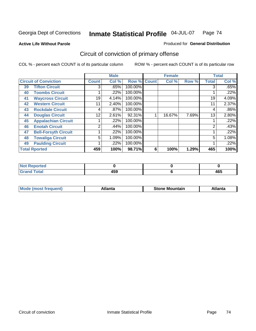**Active Life Without Parole** 

Produced for **General Distribution**

# Circuit of conviction of primary offense

|    |                              |              | <b>Male</b> |             |   | <b>Female</b> |       |                | <b>Total</b> |
|----|------------------------------|--------------|-------------|-------------|---|---------------|-------|----------------|--------------|
|    | <b>Circuit of Conviction</b> | <b>Count</b> | Col %       | Row % Count |   | Col %         | Row % | <b>Total</b>   | Col %        |
| 39 | <b>Tifton Circuit</b>        | 3            | .65%        | 100.00%     |   |               |       | 3              | .65%         |
| 40 | <b>Toombs Circuit</b>        |              | .22%        | 100.00%     |   |               |       |                | .22%         |
| 41 | <b>Waycross Circuit</b>      | 19           | 4.14%       | 100.00%     |   |               |       | 19             | 4.09%        |
| 42 | <b>Western Circuit</b>       | 11           | 2.40%       | 100.00%     |   |               |       | 11             | 2.37%        |
| 43 | <b>Rockdale Circuit</b>      | 4            | .87%        | 100.00%     |   |               |       | 4              | .86%         |
| 44 | <b>Douglas Circuit</b>       | 12           | 2.61%       | 92.31%      |   | 16.67%        | 7.69% | 13             | 2.80%        |
| 45 | <b>Appalachian Circuit</b>   |              | .22%        | 100.00%     |   |               |       |                | .22%         |
| 46 | <b>Enotah Circuit</b>        | ◠            | .44%        | 100.00%     |   |               |       | $\overline{2}$ | .43%         |
| 47 | <b>Bell-Forsyth Circuit</b>  |              | .22%        | 100.00%     |   |               |       |                | .22%         |
| 48 | <b>Towaliga Circuit</b>      | 5            | 1.09%       | 100.00%     |   |               |       | 5              | 1.08%        |
| 49 | <b>Paulding Circuit</b>      |              | .22%        | 100.00%     |   |               |       |                | .22%         |
|    | <b>Total Rported</b>         | 459          | 100%        | 98.71%      | 6 | 100%          | 1.29% | 465            | 100%         |

| ported<br>'N (               |              |            |
|------------------------------|--------------|------------|
| $\sim$<br>υιαι<br><b>VIU</b> | 1 E O<br>4ວນ | "^™<br>4υJ |

| īМ<br>----<br>taın<br>----<br>514<br>MOL<br>нс |
|------------------------------------------------|
|------------------------------------------------|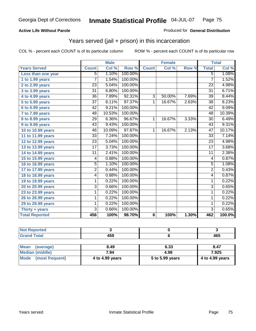#### **Active Life Without Parole**

#### Produced for **General Distribution**

## Years served (jail + prison) in this incarceration

|                       |                 | <b>Male</b> |         |                 | <b>Female</b> |       |                 | <b>Total</b> |
|-----------------------|-----------------|-------------|---------|-----------------|---------------|-------|-----------------|--------------|
| <b>Years Served</b>   | <b>Count</b>    | Col %       | Row %   | <b>Count</b>    | Col %         | Row % | <b>Total</b>    | Col %        |
| Less than one year    | 5               | 1.10%       | 100.00% |                 |               |       | $\overline{5}$  | 1.08%        |
| 1 to 1.99 years       | 7               | 1.54%       | 100.00% |                 |               |       | $\overline{7}$  | 1.52%        |
| 2 to 2.99 years       | 23              | 5.04%       | 100.00% |                 |               |       | 23              | 4.98%        |
| 3 to 3.99 years       | $\overline{31}$ | 6.80%       | 100.00% |                 |               |       | $\overline{31}$ | 6.71%        |
| 4 to 4.99 years       | $\overline{36}$ | 7.89%       | 92.31%  | 3               | 50.00%        | 7.69% | $\overline{39}$ | 8.44%        |
| 5 to 5.99 years       | 37              | 8.11%       | 97.37%  | 1               | 16.67%        | 2.63% | 38              | 8.23%        |
| 6 to 6.99 years       | 42              | 9.21%       | 100.00% |                 |               |       | $\overline{42}$ | 9.09%        |
| 7 to 7.99 years       | 48              | 10.53%      | 100.00% |                 |               |       | 48              | 10.39%       |
| 8 to 8.99 years       | 29              | 6.36%       | 96.67%  | 1               | 16.67%        | 3.33% | 30              | 6.49%        |
| 9 to 9.99 years       | 43              | 9.43%       | 100.00% |                 |               |       | 43              | 9.31%        |
| 10 to 10.99 years     | 46              | 10.09%      | 97.87%  | 1               | 16.67%        | 2.13% | $\overline{47}$ | 10.17%       |
| 11 to 11.99 years     | 33              | 7.24%       | 100.00% |                 |               |       | 33              | 7.14%        |
| 12 to 12.99 years     | $\overline{23}$ | 5.04%       | 100.00% |                 |               |       | $\overline{23}$ | 4.98%        |
| 13 to 13.99 years     | $\overline{17}$ | 3.73%       | 100.00% |                 |               |       | $\overline{17}$ | 3.68%        |
| 14 to 14.99 years     | 11              | 2.41%       | 100.00% |                 |               |       | 11              | 2.38%        |
| 15 to 15.99 years     | 4               | 0.88%       | 100.00% |                 |               |       | $\overline{4}$  | 0.87%        |
| 16 to 16.99 years     | 5               | 1.10%       | 100.00% |                 |               |       | $\overline{5}$  | 1.08%        |
| 17 to 17.99 years     | $\overline{c}$  | 0.44%       | 100.00% |                 |               |       | $\overline{2}$  | 0.43%        |
| 18 to 18.99 years     | 4               | 0.88%       | 100.00% |                 |               |       | 4               | 0.87%        |
| 19 to 19.99 years     | 1               | 0.22%       | 100.00% |                 |               |       | 1               | 0.22%        |
| 20 to 20.99 years     | $\overline{3}$  | 0.66%       | 100.00% |                 |               |       | 3               | 0.65%        |
| 23 to 23.99 years     | 1               | 0.22%       | 100.00% |                 |               |       | 1               | 0.22%        |
| 26 to 26.99 years     | 1               | 0.22%       | 100.00% |                 |               |       | 1               | 0.22%        |
| 29 to 29.99 years     | 1               | 0.22%       | 100.00% |                 |               |       | 1               | 0.22%        |
| Thirty + years        | 3               | 0.66%       | 100.00% |                 |               |       | 3               | 0.65%        |
| <b>Total Reported</b> | 456             | 100%        | 98.70%  | $6\phantom{1}6$ | 100%          | 1.30% | 462             | 100.0%       |

| <b>Not Reported</b>     |                 |                 |                 |
|-------------------------|-----------------|-----------------|-----------------|
| <b>Grand Total</b>      | 459             |                 | 465             |
|                         |                 |                 |                 |
| Mean<br>(average)       | 8.49            | 6.33            | 8.47            |
| <b>Median (middle)</b>  | 7.94            | 4.98            | 7.925           |
| Mode<br>(most frequent) | 4 to 4.99 years | 5 to 5.99 years | 4 to 4.99 years |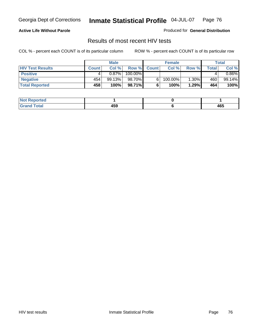### **Active Life Without Parole**

Produced for **General Distribution**

### Results of most recent HIV tests

|                         |              | <b>Male</b> |         |              | <b>Female</b> |          |       | Total     |
|-------------------------|--------------|-------------|---------|--------------|---------------|----------|-------|-----------|
| <b>HIV Test Results</b> | <b>Count</b> | Col %       | Row %   | <b>Count</b> | Col %         | Row %    | Total | Col %     |
| <b>Positive</b>         |              | 0.87%       | 100.00% |              |               |          |       | $0.86\%$  |
| <b>Negative</b>         | 454          | 99.13%      | 98.70%  |              | 100.00%       | $1.30\%$ | 460   | $99.14\%$ |
| <b>Total Reported</b>   | 458          | 100%        | 98.71%  |              | 100%          | 1.29%    | 464   | 100%      |

| <b>Not Reported</b>  |     |     |
|----------------------|-----|-----|
| <b>Fotal</b><br>Gr2r | 459 | 465 |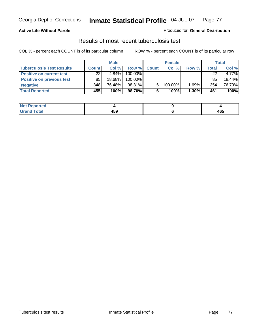### **Active Life Without Parole**

#### Produced for **General Distribution**

### Results of most recent tuberculosis test

|                                  |              | <b>Male</b> |         |              | <b>Female</b> |       |       | Total    |
|----------------------------------|--------------|-------------|---------|--------------|---------------|-------|-------|----------|
| <b>Tuberculosis Test Results</b> | <b>Count</b> | Col%        | Row %   | <b>Count</b> | Col%          | Row % | Total | Col %    |
| <b>Positive on current test</b>  | 22           | $4.84\%$    | 100.00% |              |               |       | 22    | $4.77\%$ |
| <b>Positive on previous test</b> | 85           | 18.68%      | 100.00% |              |               |       | 85    | 18.44%   |
| <b>Negative</b>                  | 348          | 76.48%      | 98.31%  | 6.           | 100.00%       | 1.69% | 354   | 76.79%   |
| <b>Total Reported</b>            | 455          | 100%        | 98.70%I | 6            | 100%          | 1.30% | 461   | 100%     |

| <b>Not</b><br><b>Reported</b> |     |     |
|-------------------------------|-----|-----|
| <b>Total</b>                  | 459 | 465 |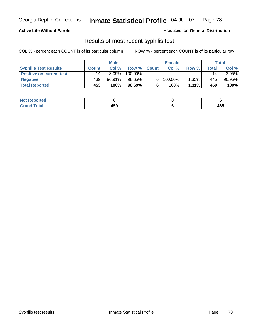#### **Active Life Without Parole**

Produced for **General Distribution**

### Results of most recent syphilis test

|                                 |              | <b>Male</b> |         |              | <b>Female</b> |          |              | Total    |
|---------------------------------|--------------|-------------|---------|--------------|---------------|----------|--------------|----------|
| <b>Syphilis Test Results</b>    | <b>Count</b> | Col %       | Row %   | <b>Count</b> | Col %         | Row %    | <b>Total</b> | Col %    |
| <b>Positive on current test</b> | 14           | $3.09\%$    | 100.00% |              |               |          | 14           | $3.05\%$ |
| <b>Negative</b>                 | 439          | 96.91%      | 98.65%  |              | 100.00%       | $1.35\%$ | 445          | 96.95%   |
| <b>Total Reported</b>           | 453          | 100%        | 98.69%  |              | 100%          | 1.31%    | 459          | 100%     |

| <b>Not Reported</b> |            |     |
|---------------------|------------|-----|
| <b>Grand Total</b>  | 160<br>433 | 465 |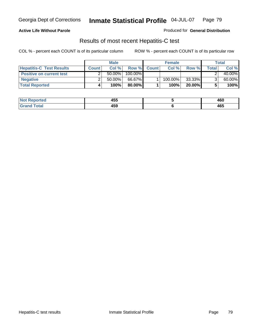### **Active Life Without Parole**

Produced for **General Distribution**

### Results of most recent Hepatitis-C test

|                                 | <b>Male</b>  |           |         | <b>Female</b> |         |           | Total |        |
|---------------------------------|--------------|-----------|---------|---------------|---------|-----------|-------|--------|
| <b>Hepatitis-C Test Results</b> | <b>Count</b> | Col %     | Row %   | <b>Count</b>  | Col %   | Row %     | Total | Col %  |
| <b>Positive on current test</b> |              | $50.00\%$ | 100.00% |               |         |           |       | 40.00% |
| <b>Negative</b>                 |              | $50.00\%$ | 66.67%  |               | 100.00% | 33.33%    |       | 60.00% |
| <b>Total Reported</b>           |              | 100%      | 80.00%I |               | 100%    | $20.00\%$ |       | 100%   |

| <b>Not Reported</b>   | <b>ARF</b><br>ฯงง | 460 |
|-----------------------|-------------------|-----|
| <b>Fotal</b><br>.Gret | 459               | 465 |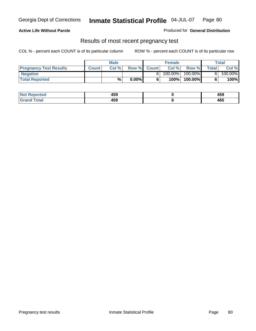#### **Active Life Without Parole**

Produced for **General Distribution**

### Results of most recent pregnancy test

|                               | Male         |       |          | <b>Female</b> |         |            | Total |         |
|-------------------------------|--------------|-------|----------|---------------|---------|------------|-------|---------|
| <b>Pregnancy Test Results</b> | <b>Count</b> | Col % | Row %    | <b>Count</b>  | Col %   | Row %      | Total | Col %   |
| <b>Negative</b>               |              |       |          |               | 100.00% | $100.00\%$ |       | 100.00% |
| <b>Total Reported</b>         |              | %     | $0.00\%$ |               | 100%    | 100.00%    |       | 100%    |

| .≺eported<br>NOT | 459 | 160<br>403 |
|------------------|-----|------------|
| <b>otal</b><br>. | 459 | 465        |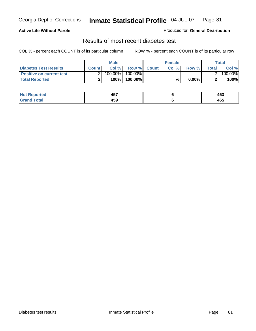### **Active Life Without Parole**

#### Produced for **General Distribution**

### Results of most recent diabetes test

|                                 |              | Male    |            |              | <b>Female</b> |          |              | Total   |
|---------------------------------|--------------|---------|------------|--------------|---------------|----------|--------------|---------|
| Diabetes Test Results           | <b>Count</b> | Col %   | Row %      | <b>Count</b> | Col %         | Row %I   | <b>Total</b> | Col %   |
| <b>Positive on current test</b> |              | 100.00% | $100.00\%$ |              |               |          |              | 100.00% |
| <b>Total Reported</b>           |              | 100%    | 100.00%    |              | %             | $0.00\%$ |              | 100%    |

| <b>eported</b> | ---<br>л н<br>70, | 463 |
|----------------|-------------------|-----|
| <b>Total</b>   | 459               | 465 |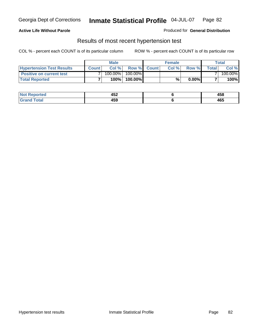### **Active Life Without Parole**

#### Produced for **General Distribution**

### Results of most recent hypertension test

|                                  | <b>Male</b>  |         |            | <b>Female</b> |      |          | <b>Total</b> |         |
|----------------------------------|--------------|---------|------------|---------------|------|----------|--------------|---------|
| <b>Hypertension Test Results</b> | <b>Count</b> | Col %   |            | Row % Count   | Col% | Row %    | Totall       | Col %   |
| <b>Positive on current test</b>  |              | 100.00% | $100.00\%$ |               |      |          |              | 100.00% |
| <b>Total Reported</b>            |              | 100%    | 100.00%    |               | %    | $0.00\%$ |              | 100%    |

| 'eported     | ハドウ<br>494<br>$-$ | AFC<br>400 |
|--------------|-------------------|------------|
| <b>Total</b> | 459               | 465        |